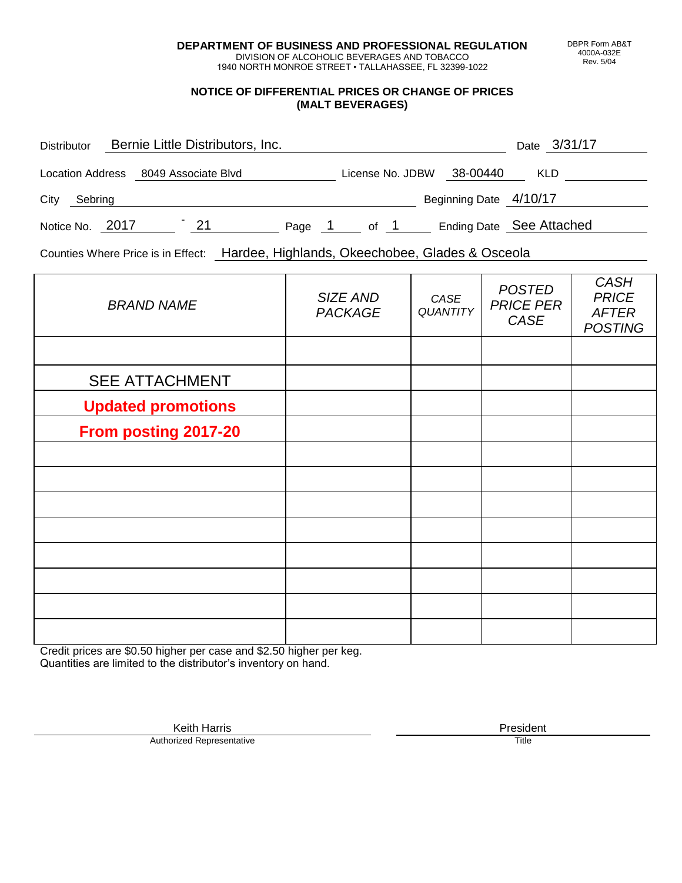**DEPARTMENT OF BUSINESS AND PROFESSIONAL REGULATION** DIVISION OF ALCOHOLIC BEVERAGES AND TOBACCO

1940 NORTH MONROE STREET • TALLAHASSEE, FL 32399-1022

#### **NOTICE OF DIFFERENTIAL PRICES OR CHANGE OF PRICES (MALT BEVERAGES)**

| <b>Distributor</b> |                                      | Bernie Little Distributors, Inc. |        |                  |                          | Date 3/31/17 |  |
|--------------------|--------------------------------------|----------------------------------|--------|------------------|--------------------------|--------------|--|
|                    | Location Address 8049 Associate Blvd |                                  |        | License No. JDBW | 38-00440                 | <b>KLD</b>   |  |
| City<br>Sebring    |                                      |                                  |        |                  | Beginning Date 4/10/17   |              |  |
| Notice No. 2017    |                                      | 21                               | Page 1 | of 1             | Ending Date See Attached |              |  |

Counties Where Price is in Effect: Hardee, Highlands, Okeechobee, Glades & Osceola

| <b>BRAND NAME</b>         | SIZE AND<br><b>PACKAGE</b> | CASE<br>QUANTITY | <b>POSTED</b><br><b>PRICE PER</b><br>CASE | <b>CASH</b><br><b>PRICE</b><br><b>AFTER</b><br><b>POSTING</b> |
|---------------------------|----------------------------|------------------|-------------------------------------------|---------------------------------------------------------------|
|                           |                            |                  |                                           |                                                               |
| <b>SEE ATTACHMENT</b>     |                            |                  |                                           |                                                               |
| <b>Updated promotions</b> |                            |                  |                                           |                                                               |
| From posting 2017-20      |                            |                  |                                           |                                                               |
|                           |                            |                  |                                           |                                                               |
|                           |                            |                  |                                           |                                                               |
|                           |                            |                  |                                           |                                                               |
|                           |                            |                  |                                           |                                                               |
|                           |                            |                  |                                           |                                                               |
|                           |                            |                  |                                           |                                                               |
|                           |                            |                  |                                           |                                                               |
|                           |                            |                  |                                           |                                                               |

Credit prices are \$0.50 higher per case and \$2.50 higher per keg. Quantities are limited to the distributor's inventory on hand.

> Keith Harris **President**<br> **President**<br>
> Prized Representative **President** Authorized Representative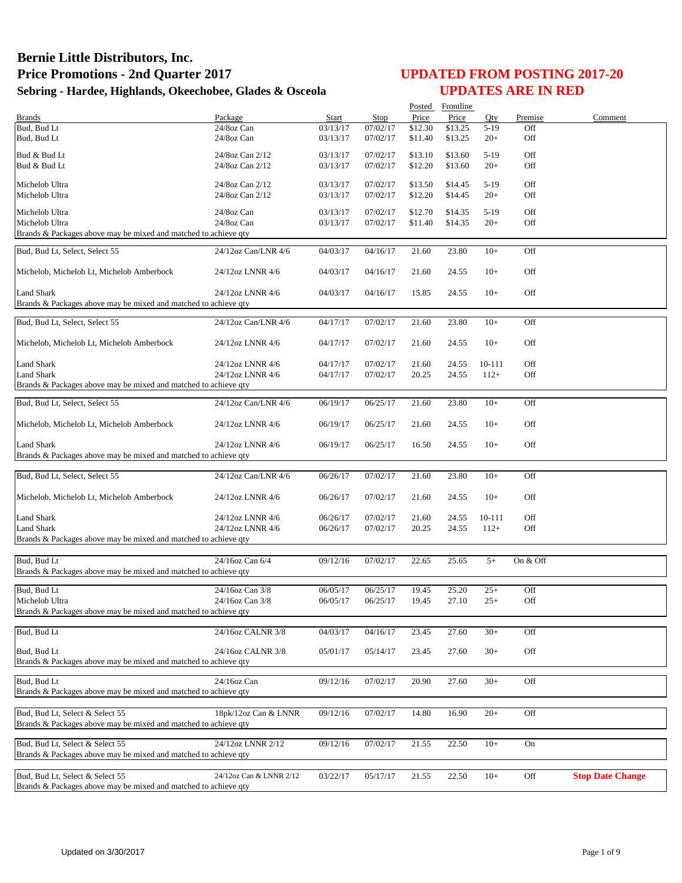|                                                                                                    |                                      |                      |                      |                    | Posted Frontline   |                  |            |                         |
|----------------------------------------------------------------------------------------------------|--------------------------------------|----------------------|----------------------|--------------------|--------------------|------------------|------------|-------------------------|
| <b>Brands</b><br>Bud, Bud Lt                                                                       | Package                              | Start                | Stop                 | Price              | Price              | Qty              | Premise    | Comment                 |
| Bud, Bud Lt                                                                                        | 24/8oz Can<br>24/8oz Can             | 03/13/17<br>03/13/17 | 07/02/17<br>07/02/17 | \$12.30<br>\$11.40 | \$13.25<br>\$13.25 | $5-19$<br>$20+$  | Off<br>Off |                         |
|                                                                                                    |                                      |                      |                      |                    |                    |                  |            |                         |
| Bud & Bud Lt                                                                                       | 24/8oz Can 2/12                      | 03/13/17             | 07/02/17             | \$13.10            | \$13.60            | $5-19$           | Off        |                         |
| Bud & Bud Lt                                                                                       | 24/8oz Can 2/12                      | 03/13/17             | 07/02/17             | \$12.20            | \$13.60            | $20+$            | Off        |                         |
| Michelob Ultra                                                                                     | 24/8oz Can 2/12                      | 03/13/17             | 07/02/17             | \$13.50            | \$14.45            | $5-19$           | Off        |                         |
| Michelob Ultra                                                                                     | 24/8oz Can 2/12                      | 03/13/17             | 07/02/17             | \$12.20            | \$14.45            | $20+$            | Off        |                         |
|                                                                                                    |                                      |                      |                      |                    |                    |                  |            |                         |
| Michelob Ultra                                                                                     | 24/8oz Can                           | 03/13/17             | 07/02/17             | \$12.70            | \$14.35            | $5-19$           | Off        |                         |
| Michelob Ultra                                                                                     | 24/8oz Can                           | 03/13/17             | 07/02/17             | \$11.40            | \$14.35            | $20+$            | Off        |                         |
| Brands & Packages above may be mixed and matched to achieve qty                                    |                                      |                      |                      |                    |                    |                  |            |                         |
| Bud, Bud Lt, Select, Select 55                                                                     | 24/12oz Can/LNR 4/6                  | 04/03/17             | 04/16/17             | 21.60              | 23.80              | $10+$            | Off        |                         |
| Michelob, Michelob Lt, Michelob Amberbock                                                          | 24/12oz LNNR 4/6                     | 04/03/17             | 04/16/17             | 21.60              | 24.55              | $10+$            | Off        |                         |
| <b>Land Shark</b>                                                                                  | 24/12oz LNNR 4/6                     | 04/03/17             | 04/16/17             | 15.85              | 24.55              | $10+$            | Off        |                         |
| Brands & Packages above may be mixed and matched to achieve qty                                    |                                      |                      |                      |                    |                    |                  |            |                         |
|                                                                                                    |                                      |                      |                      |                    |                    |                  |            |                         |
| Bud, Bud Lt, Select, Select 55                                                                     | 24/12oz Can/LNR 4/6                  | 04/17/17             | 07/02/17             | 21.60              | 23.80              | $10+$            | Off        |                         |
| Michelob, Michelob Lt, Michelob Amberbock                                                          | 24/12oz LNNR 4/6                     | 04/17/17             | 07/02/17             | 21.60              | 24.55              | $10+$            | Off        |                         |
|                                                                                                    |                                      |                      |                      |                    |                    |                  |            |                         |
| Land Shark<br><b>Land Shark</b>                                                                    | 24/12oz LNNR 4/6<br>24/12oz LNNR 4/6 | 04/17/17<br>04/17/17 | 07/02/17<br>07/02/17 | 21.60<br>20.25     | 24.55<br>24.55     | 10-111<br>$112+$ | Off<br>Off |                         |
| Brands & Packages above may be mixed and matched to achieve qty                                    |                                      |                      |                      |                    |                    |                  |            |                         |
|                                                                                                    |                                      |                      |                      |                    |                    |                  |            |                         |
| Bud, Bud Lt, Select, Select 55                                                                     | 24/12oz Can/LNR 4/6                  | 06/19/17             | 06/25/17             | 21.60              | 23.80              | $10+$            | Off        |                         |
| Michelob, Michelob Lt, Michelob Amberbock                                                          | 24/12oz LNNR 4/6                     | 06/19/17             | 06/25/17             | 21.60              | 24.55              | $10+$            | Off        |                         |
| <b>Land Shark</b>                                                                                  | 24/12oz LNNR 4/6                     | 06/19/17             | 06/25/17             | 16.50              | 24.55              | $10+$            | Off        |                         |
| Brands & Packages above may be mixed and matched to achieve qty                                    |                                      |                      |                      |                    |                    |                  |            |                         |
|                                                                                                    |                                      |                      |                      |                    |                    |                  |            |                         |
| Bud, Bud Lt, Select, Select 55                                                                     | 24/12oz Can/LNR 4/6                  | 06/26/17             | 07/02/17             | 21.60              | 23.80              | $10+$            | Off        |                         |
| Michelob, Michelob Lt, Michelob Amberbock                                                          | 24/12oz LNNR 4/6                     | 06/26/17             | 07/02/17             | 21.60              | 24.55              | $10+$            | Off        |                         |
| <b>Land Shark</b>                                                                                  | 24/12oz LNNR 4/6                     | 06/26/17             | 07/02/17             | 21.60              | 24.55              | 10-111           | Off        |                         |
| <b>Land Shark</b>                                                                                  | 24/12oz LNNR 4/6                     | 06/26/17             | 07/02/17             | 20.25              | 24.55              | $112+$           | Off        |                         |
| Brands & Packages above may be mixed and matched to achieve qty                                    |                                      |                      |                      |                    |                    |                  |            |                         |
|                                                                                                    |                                      |                      |                      |                    |                    |                  |            |                         |
| Bud, Bud Lt                                                                                        | 24/16oz Can 6/4                      | 09/12/16             | 07/02/17             | 22.65              | 25.65              | $5+$             | On & Off   |                         |
| Brands & Packages above may be mixed and matched to achieve gty                                    |                                      |                      |                      |                    |                    |                  |            |                         |
| Bud, Bud Lt                                                                                        | 24/16oz Can 3/8                      | 06/05/17             | 06/25/17             | 19.45              | 25.20              | $25+$            | Off        |                         |
| Michelob Ultra                                                                                     | 24/16oz Can 3/8                      | 06/05/17             | 06/25/17             | 19.45              | 27.10              | $25+$            | Off        |                         |
| Brands & Packages above may be mixed and matched to achieve qty                                    |                                      |                      |                      |                    |                    |                  |            |                         |
|                                                                                                    |                                      |                      |                      |                    |                    |                  |            |                         |
| Bud, Bud Lt                                                                                        | 24/16oz CALNR 3/8                    | 04/03/17             | 04/16/17             | 23.45              | 27.60              | $30+$            | Off        |                         |
| Bud, Bud Lt                                                                                        | 24/16oz CALNR 3/8                    | 05/01/17             | 05/14/17             | 23.45              | 27.60              | $30+$            | Off        |                         |
| Brands & Packages above may be mixed and matched to achieve qty                                    |                                      |                      |                      |                    |                    |                  |            |                         |
|                                                                                                    |                                      |                      |                      |                    |                    |                  |            |                         |
| Bud, Bud Lt                                                                                        | 24/16oz Can                          | 09/12/16             | 07/02/17             | 20.90              | 27.60              | $30+$            | Off        |                         |
| Brands & Packages above may be mixed and matched to achieve qty                                    |                                      |                      |                      |                    |                    |                  |            |                         |
|                                                                                                    |                                      |                      |                      |                    |                    |                  |            |                         |
| Bud, Bud Lt, Select & Select 55<br>Brands & Packages above may be mixed and matched to achieve qty | 18pk/12oz Can & LNNR                 | 09/12/16             | 07/02/17             | 14.80              | 16.90              | $20+$            | Off        |                         |
|                                                                                                    |                                      |                      |                      |                    |                    |                  |            |                         |
| Bud, Bud Lt, Select & Select 55                                                                    | 24/12oz LNNR 2/12                    | 09/12/16             | 07/02/17             | 21.55              | 22.50              | $10+$            | On         |                         |
| Brands & Packages above may be mixed and matched to achieve qty                                    |                                      |                      |                      |                    |                    |                  |            |                         |
|                                                                                                    |                                      |                      |                      |                    |                    |                  |            |                         |
| Bud, Bud Lt, Select & Select 55                                                                    | 24/12oz Can & LNNR 2/12              | 03/22/17             | 05/17/17             | 21.55              | 22.50              | $10+$            | Off        | <b>Stop Date Change</b> |
| Brands & Packages above may be mixed and matched to achieve qty                                    |                                      |                      |                      |                    |                    |                  |            |                         |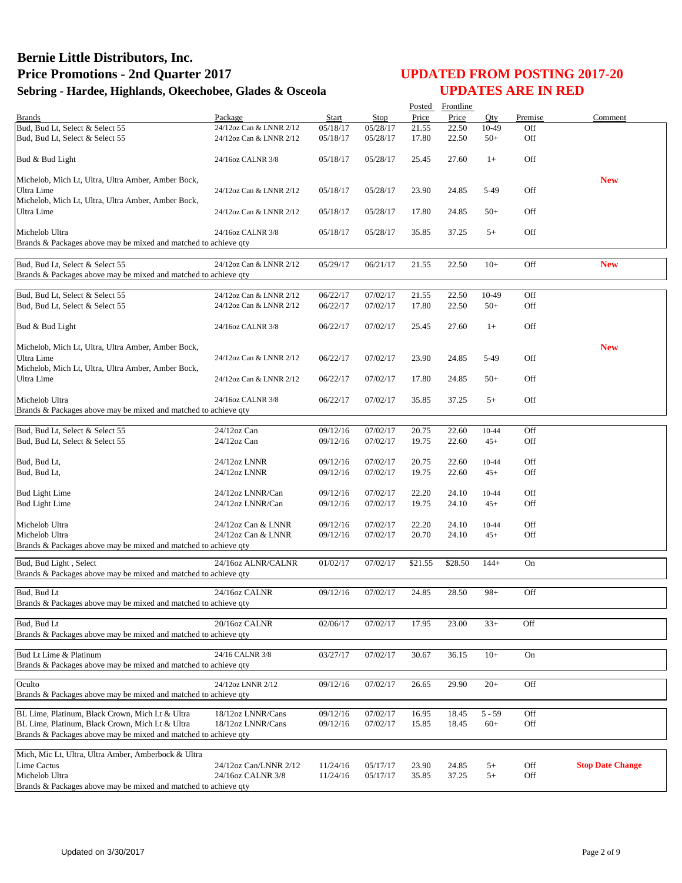|                                                                                                    |                                                    |                      |                      | Posted         | Frontline      |                |            |                         |
|----------------------------------------------------------------------------------------------------|----------------------------------------------------|----------------------|----------------------|----------------|----------------|----------------|------------|-------------------------|
| <b>Brands</b>                                                                                      | Package                                            | Start                | Stop                 | Price          | Price          | Oty            | Premise    | Comment                 |
| Bud, Bud Lt, Select & Select 55                                                                    | 24/12oz Can & LNNR 2/12                            | 05/18/17             | 05/28/17             | 21.55          | 22.50          | 10-49          | Off        |                         |
| Bud, Bud Lt, Select & Select 55                                                                    | 24/12oz Can & LNNR 2/12                            | 05/18/17             | 05/28/17             | 17.80          | 22.50          | $50+$          | Off        |                         |
| Bud & Bud Light                                                                                    | 24/16oz CALNR 3/8                                  | 05/18/17             | 05/28/17             | 25.45          | 27.60          | $1+$           | Off        |                         |
| Michelob, Mich Lt, Ultra, Ultra Amber, Amber Bock,                                                 |                                                    |                      |                      |                |                |                |            | <b>New</b>              |
| Ultra Lime                                                                                         | 24/12oz Can & LNNR 2/12                            | 05/18/17             | 05/28/17             | 23.90          | 24.85          | 5-49           | Off        |                         |
| Michelob, Mich Lt, Ultra, Ultra Amber, Amber Bock,                                                 |                                                    |                      |                      |                |                |                |            |                         |
| Ultra Lime                                                                                         | 24/12oz Can & LNNR 2/12                            | 05/18/17             | 05/28/17             | 17.80          | 24.85          | $50+$          | Off        |                         |
| Michelob Ultra                                                                                     | 24/16oz CALNR 3/8                                  | 05/18/17             | 05/28/17             | 35.85          | 37.25          | $5+$           | Off        |                         |
| Brands & Packages above may be mixed and matched to achieve qty                                    |                                                    |                      |                      |                |                |                |            |                         |
|                                                                                                    |                                                    |                      |                      |                |                |                |            |                         |
| Bud, Bud Lt, Select & Select 55<br>Brands & Packages above may be mixed and matched to achieve qty | 24/12oz Can & LNNR 2/12                            | 05/29/17             | 06/21/17             | 21.55          | 22.50          | $10+$          | Off        | <b>New</b>              |
|                                                                                                    |                                                    |                      |                      |                |                |                |            |                         |
| Bud, Bud Lt, Select & Select 55<br>Bud, Bud Lt, Select & Select 55                                 | 24/12oz Can & LNNR 2/12<br>24/12oz Can & LNNR 2/12 | 06/22/17<br>06/22/17 | 07/02/17<br>07/02/17 | 21.55<br>17.80 | 22.50<br>22.50 | 10-49<br>$50+$ | Off<br>Off |                         |
|                                                                                                    |                                                    |                      |                      |                |                |                |            |                         |
| Bud & Bud Light                                                                                    | 24/16oz CALNR 3/8                                  | 06/22/17             | 07/02/17             | 25.45          | 27.60          | $1+$           | Off        |                         |
|                                                                                                    |                                                    |                      |                      |                |                |                |            |                         |
| Michelob, Mich Lt, Ultra, Ultra Amber, Amber Bock,                                                 |                                                    |                      |                      |                |                |                |            | <b>New</b>              |
| Ultra Lime                                                                                         | 24/12oz Can & LNNR 2/12                            | 06/22/17             | 07/02/17             | 23.90          | 24.85          | 5-49           | Off        |                         |
| Michelob, Mich Lt, Ultra, Ultra Amber, Amber Bock,<br>Ultra Lime                                   | 24/12oz Can & LNNR 2/12                            | 06/22/17             | 07/02/17             | 17.80          | 24.85          | $50+$          | Off        |                         |
|                                                                                                    |                                                    |                      |                      |                |                |                |            |                         |
| Michelob Ultra                                                                                     | 24/16oz CALNR 3/8                                  | 06/22/17             | 07/02/17             | 35.85          | 37.25          | $5+$           | Off        |                         |
| Brands & Packages above may be mixed and matched to achieve qty                                    |                                                    |                      |                      |                |                |                |            |                         |
|                                                                                                    |                                                    |                      |                      |                |                |                |            |                         |
| Bud, Bud Lt, Select & Select 55<br>Bud, Bud Lt, Select & Select 55                                 | 24/12oz Can<br>$24/12$ oz Can                      | 09/12/16<br>09/12/16 | 07/02/17<br>07/02/17 | 20.75<br>19.75 | 22.60<br>22.60 | 10-44<br>$45+$ | Off<br>Off |                         |
|                                                                                                    |                                                    |                      |                      |                |                |                |            |                         |
| Bud, Bud Lt,                                                                                       | 24/12oz LNNR                                       | 09/12/16             | 07/02/17             | 20.75          | 22.60          | 10-44          | Off        |                         |
| Bud, Bud Lt,                                                                                       | 24/12oz LNNR                                       | 09/12/16             | 07/02/17             | 19.75          | 22.60          | $45+$          | Off        |                         |
|                                                                                                    |                                                    |                      |                      |                |                |                |            |                         |
| <b>Bud Light Lime</b>                                                                              | 24/12oz LNNR/Can                                   | 09/12/16             | 07/02/17             | 22.20          | 24.10          | 10-44          | Off        |                         |
| <b>Bud Light Lime</b>                                                                              | 24/12oz LNNR/Can                                   | 09/12/16             | 07/02/17             | 19.75          | 24.10          | $45+$          | Off        |                         |
|                                                                                                    |                                                    |                      |                      |                |                |                |            |                         |
| Michelob Ultra<br>Michelob Ultra                                                                   | 24/12oz Can & LNNR<br>24/12oz Can & LNNR           | 09/12/16<br>09/12/16 | 07/02/17<br>07/02/17 | 22.20<br>20.70 | 24.10<br>24.10 | 10-44<br>$45+$ | Off<br>Off |                         |
| Brands & Packages above may be mixed and matched to achieve qty                                    |                                                    |                      |                      |                |                |                |            |                         |
|                                                                                                    |                                                    |                      |                      |                |                |                |            |                         |
| Bud, Bud Light, Select                                                                             | 24/16oz ALNR/CALNR                                 | 01/02/17             | 07/02/17             | \$21.55        | \$28.50        | $144+$         | On         |                         |
| Brands & Packages above may be mixed and matched to achieve qty                                    |                                                    |                      |                      |                |                |                |            |                         |
| Bud, Bud Lt                                                                                        | 24/16oz CALNR                                      | 09/12/16             | 07/02/17             | 24.85          | 28.50          | $98+$          | Off        |                         |
| Brands & Packages above may be mixed and matched to achieve qty                                    |                                                    |                      |                      |                |                |                |            |                         |
|                                                                                                    |                                                    |                      |                      |                |                |                |            |                         |
| Bud, Bud Lt                                                                                        | 20/16oz CALNR                                      | 02/06/17             | 07/02/17             | 17.95          | 23.00          | $33+$          | Off        |                         |
| Brands & Packages above may be mixed and matched to achieve qty                                    |                                                    |                      |                      |                |                |                |            |                         |
| Bud Lt Lime & Platinum                                                                             | 24/16 CALNR 3/8                                    | 03/27/17             | 07/02/17             | 30.67          | 36.15          | $10+$          | On         |                         |
| Brands & Packages above may be mixed and matched to achieve gty                                    |                                                    |                      |                      |                |                |                |            |                         |
|                                                                                                    |                                                    |                      |                      |                |                |                |            |                         |
| Oculto<br>Brands & Packages above may be mixed and matched to achieve qty                          | 24/12oz LNNR 2/12                                  | 09/12/16             | 07/02/17             | 26.65          | 29.90          | $20+$          | Off        |                         |
|                                                                                                    |                                                    |                      |                      |                |                |                |            |                         |
| BL Lime, Platinum, Black Crown, Mich Lt & Ultra                                                    | 18/12oz LNNR/Cans                                  | 09/12/16             | 07/02/17             | 16.95          | 18.45          | $5 - 59$       | Off        |                         |
| BL Lime, Platinum, Black Crown, Mich Lt & Ultra                                                    | 18/12oz LNNR/Cans                                  | 09/12/16             | 07/02/17             | 15.85          | 18.45          | $60+$          | Off        |                         |
| Brands & Packages above may be mixed and matched to achieve qty                                    |                                                    |                      |                      |                |                |                |            |                         |
| Mich, Mic Lt, Ultra, Ultra Amber, Amberbock & Ultra                                                |                                                    |                      |                      |                |                |                |            |                         |
| Lime Cactus                                                                                        | 24/12oz Can/LNNR 2/12                              | 11/24/16             | 05/17/17             | 23.90          | 24.85          | $5+$           | Off        | <b>Stop Date Change</b> |
| Michelob Ultra                                                                                     | 24/16oz CALNR 3/8                                  | 11/24/16             | 05/17/17             | 35.85          | 37.25          | $5+$           | Off        |                         |
| Brands & Packages above may be mixed and matched to achieve qty                                    |                                                    |                      |                      |                |                |                |            |                         |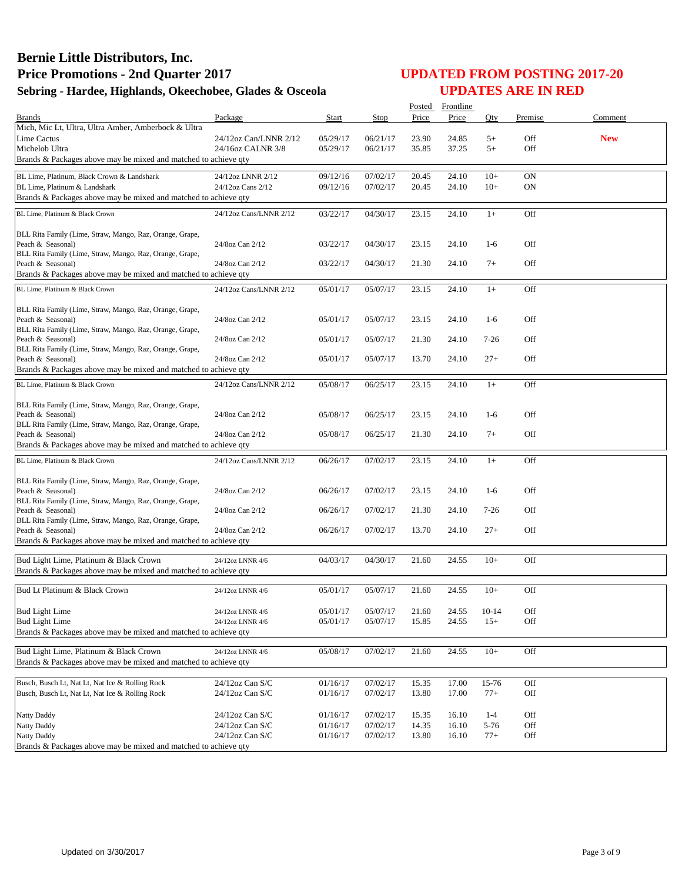|                                                                               |                        |          |          | Posted | Frontline |           |           |            |
|-------------------------------------------------------------------------------|------------------------|----------|----------|--------|-----------|-----------|-----------|------------|
| <b>Brands</b>                                                                 | Package                | Start    | Stop     | Price  | Price     | Oty       | Premise   | Comment    |
| Mich, Mic Lt, Ultra, Ultra Amber, Amberbock & Ultra                           |                        |          |          |        |           |           |           |            |
| Lime Cactus                                                                   | 24/12oz Can/LNNR 2/12  | 05/29/17 | 06/21/17 | 23.90  | 24.85     | $5+$      | Off       | <b>New</b> |
| Michelob Ultra                                                                | 24/16oz CALNR 3/8      | 05/29/17 | 06/21/17 | 35.85  | 37.25     | $5+$      | Off       |            |
| Brands & Packages above may be mixed and matched to achieve qty               |                        |          |          |        |           |           |           |            |
| BL Lime, Platinum, Black Crown & Landshark                                    | 24/12oz LNNR 2/12      | 09/12/16 | 07/02/17 | 20.45  | 24.10     | $10+$     | <b>ON</b> |            |
| BL Lime, Platinum & Landshark                                                 | 24/12oz Cans 2/12      | 09/12/16 | 07/02/17 | 20.45  | 24.10     | $10+$     | <b>ON</b> |            |
| Brands & Packages above may be mixed and matched to achieve qty               |                        |          |          |        |           |           |           |            |
| BL Lime, Platinum & Black Crown                                               | 24/12oz Cans/LNNR 2/12 | 03/22/17 | 04/30/17 | 23.15  | 24.10     | $1+$      | Off       |            |
|                                                                               |                        |          |          |        |           |           |           |            |
| BLL Rita Family (Lime, Straw, Mango, Raz, Orange, Grape,                      |                        |          |          |        |           |           |           |            |
| Peach & Seasonal)                                                             | 24/8oz Can 2/12        | 03/22/17 | 04/30/17 | 23.15  | 24.10     | $1-6$     | Off       |            |
| BLL Rita Family (Lime, Straw, Mango, Raz, Orange, Grape,                      |                        |          |          |        |           |           |           |            |
| Peach & Seasonal)                                                             | 24/8oz Can 2/12        | 03/22/17 | 04/30/17 | 21.30  | 24.10     | $7+$      | Off       |            |
| Brands & Packages above may be mixed and matched to achieve qty               |                        |          |          |        |           |           |           |            |
| BL Lime, Platinum & Black Crown                                               | 24/12oz Cans/LNNR 2/12 | 05/01/17 | 05/07/17 | 23.15  | 24.10     | $1+$      | Off       |            |
|                                                                               |                        |          |          |        |           |           |           |            |
| BLL Rita Family (Lime, Straw, Mango, Raz, Orange, Grape,                      |                        |          |          |        |           |           |           |            |
| Peach & Seasonal)<br>BLL Rita Family (Lime, Straw, Mango, Raz, Orange, Grape, | 24/8oz Can 2/12        | 05/01/17 | 05/07/17 | 23.15  | 24.10     | $1-6$     | Off       |            |
| Peach & Seasonal)                                                             | 24/8oz Can 2/12        | 05/01/17 | 05/07/17 | 21.30  | 24.10     | $7 - 26$  | Off       |            |
| BLL Rita Family (Lime, Straw, Mango, Raz, Orange, Grape,                      |                        |          |          |        |           |           |           |            |
| Peach & Seasonal)                                                             | 24/8oz Can 2/12        | 05/01/17 | 05/07/17 | 13.70  | 24.10     | $27+$     | Off       |            |
| Brands & Packages above may be mixed and matched to achieve qty               |                        |          |          |        |           |           |           |            |
| BL Lime, Platinum & Black Crown                                               | 24/12oz Cans/LNNR 2/12 | 05/08/17 | 06/25/17 | 23.15  | 24.10     | $1+$      | Off       |            |
|                                                                               |                        |          |          |        |           |           |           |            |
| BLL Rita Family (Lime, Straw, Mango, Raz, Orange, Grape,                      |                        |          |          |        |           |           |           |            |
| Peach & Seasonal)                                                             | 24/8oz Can 2/12        | 05/08/17 | 06/25/17 | 23.15  | 24.10     | $1-6$     | Off       |            |
| BLL Rita Family (Lime, Straw, Mango, Raz, Orange, Grape,                      |                        |          |          |        |           |           |           |            |
| Peach & Seasonal)                                                             | 24/8oz Can 2/12        | 05/08/17 | 06/25/17 | 21.30  | 24.10     | $7+$      | Off       |            |
| Brands & Packages above may be mixed and matched to achieve qty               |                        |          |          |        |           |           |           |            |
| BL Lime, Platinum & Black Crown                                               | 24/12oz Cans/LNNR 2/12 | 06/26/17 | 07/02/17 | 23.15  | 24.10     | $1+$      | Off       |            |
|                                                                               |                        |          |          |        |           |           |           |            |
| BLL Rita Family (Lime, Straw, Mango, Raz, Orange, Grape,                      |                        |          |          |        |           |           |           |            |
| Peach & Seasonal)<br>BLL Rita Family (Lime, Straw, Mango, Raz, Orange, Grape, | 24/8oz Can 2/12        | 06/26/17 | 07/02/17 | 23.15  | 24.10     | $1-6$     | Off       |            |
| Peach & Seasonal)                                                             | 24/8oz Can 2/12        | 06/26/17 | 07/02/17 | 21.30  | 24.10     | $7 - 26$  | Off       |            |
| BLL Rita Family (Lime, Straw, Mango, Raz, Orange, Grape,                      |                        |          |          |        |           |           |           |            |
| Peach & Seasonal)                                                             | 24/8oz Can 2/12        | 06/26/17 | 07/02/17 | 13.70  | 24.10     | $27+$     | Off       |            |
| Brands & Packages above may be mixed and matched to achieve qty               |                        |          |          |        |           |           |           |            |
|                                                                               |                        |          |          |        |           |           |           |            |
| Bud Light Lime, Platinum & Black Crown                                        | 24/12oz LNNR 4/6       | 04/03/17 | 04/30/17 | 21.60  | 24.55     | $10+$     | Off       |            |
| Brands & Packages above may be mixed and matched to achieve qty               |                        |          |          |        |           |           |           |            |
| Bud Lt Platinum & Black Crown                                                 | 24/12oz LNNR 4/6       | 05/01/17 | 05/07/17 | 21.60  | 24.55     | $10+$     | Off       |            |
|                                                                               |                        |          |          |        |           |           |           |            |
| <b>Bud Light Lime</b>                                                         | 24/12oz LNNR 4/6       | 05/01/17 | 05/07/17 | 21.60  | 24.55     | $10 - 14$ | Off       |            |
| <b>Bud Light Lime</b>                                                         | 24/12oz LNNR 4/6       | 05/01/17 | 05/07/17 | 15.85  | 24.55     | $15+$     | Off       |            |
| Brands & Packages above may be mixed and matched to achieve qty               |                        |          |          |        |           |           |           |            |
| Bud Light Lime, Platinum & Black Crown                                        | 24/12oz LNNR 4/6       | 05/08/17 | 07/02/17 | 21.60  | 24.55     | $10+$     | Off       |            |
| Brands & Packages above may be mixed and matched to achieve qty               |                        |          |          |        |           |           |           |            |
|                                                                               |                        |          |          |        |           |           |           |            |
| Busch, Busch Lt, Nat Lt, Nat Ice & Rolling Rock                               | 24/12oz Can S/C        | 01/16/17 | 07/02/17 | 15.35  | 17.00     | 15-76     | Off       |            |
| Busch, Busch Lt, Nat Lt, Nat Ice & Rolling Rock                               | 24/12oz Can S/C        | 01/16/17 | 07/02/17 | 13.80  | 17.00     | $77+$     | Off       |            |
|                                                                               |                        |          |          |        |           |           |           |            |
| Natty Daddy                                                                   | 24/12oz Can S/C        | 01/16/17 | 07/02/17 | 15.35  | 16.10     | $1 - 4$   | Off       |            |
| Natty Daddy                                                                   | 24/12oz Can S/C        | 01/16/17 | 07/02/17 | 14.35  | 16.10     | 5-76      | Off       |            |
| Natty Daddy                                                                   | 24/12oz Can S/C        | 01/16/17 | 07/02/17 | 13.80  | 16.10     | $77+$     | Off       |            |
| Brands & Packages above may be mixed and matched to achieve qty               |                        |          |          |        |           |           |           |            |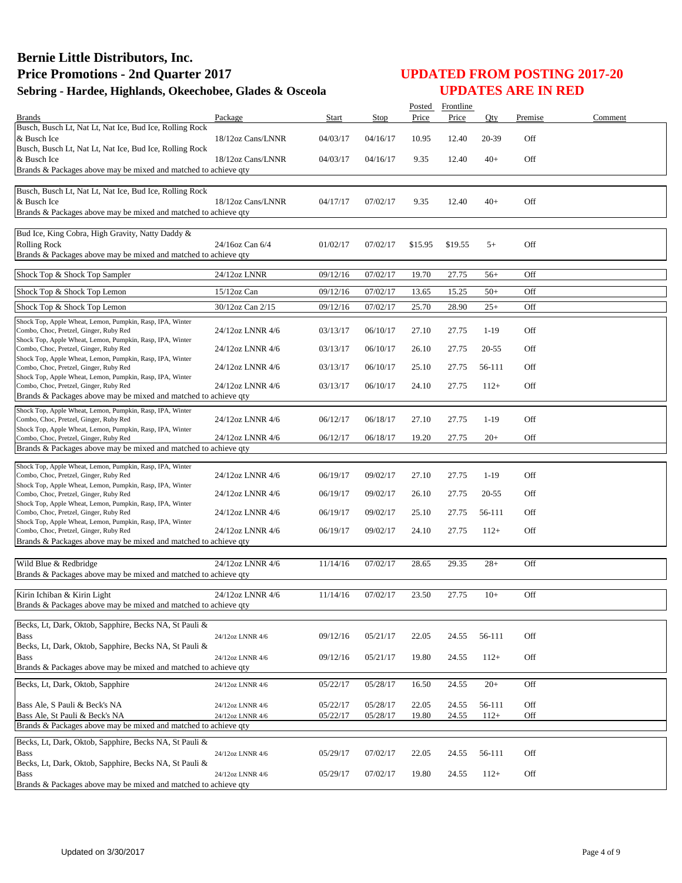|                                                                                                                                                                  |                   |          |          | Posted  | Frontline |           |         |         |
|------------------------------------------------------------------------------------------------------------------------------------------------------------------|-------------------|----------|----------|---------|-----------|-----------|---------|---------|
| <b>Brands</b>                                                                                                                                                    | Package           | Start    | Stop     | Price   | Price     | Qty       | Premise | Comment |
| Busch, Busch Lt, Nat Lt, Nat Ice, Bud Ice, Rolling Rock<br>& Busch Ice<br>Busch, Busch Lt, Nat Lt, Nat Ice, Bud Ice, Rolling Rock                                | 18/12oz Cans/LNNR | 04/03/17 | 04/16/17 | 10.95   | 12.40     | 20-39     | Off     |         |
| & Busch Ice<br>Brands & Packages above may be mixed and matched to achieve qty                                                                                   | 18/12oz Cans/LNNR | 04/03/17 | 04/16/17 | 9.35    | 12.40     | $40+$     | Off     |         |
| Busch, Busch Lt, Nat Lt, Nat Ice, Bud Ice, Rolling Rock<br>& Busch Ice<br>Brands & Packages above may be mixed and matched to achieve qty                        | 18/12oz Cans/LNNR | 04/17/17 | 07/02/17 | 9.35    | 12.40     | $40+$     | Off     |         |
| Bud Ice, King Cobra, High Gravity, Natty Daddy &<br><b>Rolling Rock</b><br>Brands & Packages above may be mixed and matched to achieve qty                       | 24/16oz Can 6/4   | 01/02/17 | 07/02/17 | \$15.95 | \$19.55   | $5+$      | Off     |         |
| Shock Top & Shock Top Sampler                                                                                                                                    | 24/12oz LNNR      | 09/12/16 | 07/02/17 | 19.70   | 27.75     | $56+$     | Off     |         |
| Shock Top & Shock Top Lemon                                                                                                                                      | 15/12oz Can       | 09/12/16 | 07/02/17 | 13.65   | 15.25     | $50+$     | Off     |         |
| Shock Top & Shock Top Lemon                                                                                                                                      | 30/12oz Can 2/15  | 09/12/16 | 07/02/17 | 25.70   | 28.90     | $25+$     | Off     |         |
| Shock Top, Apple Wheat, Lemon, Pumpkin, Rasp, IPA, Winter<br>Combo, Choc, Pretzel, Ginger, Ruby Red<br>Shock Top, Apple Wheat, Lemon, Pumpkin, Rasp, IPA, Winter | 24/12oz LNNR 4/6  | 03/13/17 | 06/10/17 | 27.10   | 27.75     | $1-19$    | Off     |         |
| Combo, Choc, Pretzel, Ginger, Ruby Red<br>Shock Top, Apple Wheat, Lemon, Pumpkin, Rasp, IPA, Winter                                                              | 24/12oz LNNR 4/6  | 03/13/17 | 06/10/17 | 26.10   | 27.75     | 20-55     | Off     |         |
| Combo, Choc, Pretzel, Ginger, Ruby Red<br>Shock Top, Apple Wheat, Lemon, Pumpkin, Rasp, IPA, Winter                                                              | 24/12oz LNNR 4/6  | 03/13/17 | 06/10/17 | 25.10   | 27.75     | 56-111    | Off     |         |
| Combo, Choc, Pretzel, Ginger, Ruby Red<br>Brands & Packages above may be mixed and matched to achieve qty                                                        | 24/12oz LNNR 4/6  | 03/13/17 | 06/10/17 | 24.10   | 27.75     | $112+$    | Off     |         |
|                                                                                                                                                                  |                   |          |          |         |           |           |         |         |
| Shock Top, Apple Wheat, Lemon, Pumpkin, Rasp, IPA, Winter<br>Combo, Choc, Pretzel, Ginger, Ruby Red                                                              | 24/12oz LNNR 4/6  | 06/12/17 | 06/18/17 | 27.10   | 27.75     | $1-19$    | Off     |         |
| Shock Top, Apple Wheat, Lemon, Pumpkin, Rasp, IPA, Winter<br>Combo, Choc, Pretzel, Ginger, Ruby Red                                                              | 24/12oz LNNR 4/6  | 06/12/17 | 06/18/17 | 19.20   | 27.75     | $20+$     | Off     |         |
| Brands & Packages above may be mixed and matched to achieve qty                                                                                                  |                   |          |          |         |           |           |         |         |
| Shock Top, Apple Wheat, Lemon, Pumpkin, Rasp, IPA, Winter<br>Combo, Choc, Pretzel, Ginger, Ruby Red                                                              | 24/12oz LNNR 4/6  | 06/19/17 | 09/02/17 | 27.10   | 27.75     | $1-19$    | Off     |         |
| Shock Top, Apple Wheat, Lemon, Pumpkin, Rasp, IPA, Winter<br>Combo, Choc, Pretzel, Ginger, Ruby Red                                                              | 24/12oz LNNR 4/6  | 06/19/17 | 09/02/17 | 26.10   | 27.75     | $20 - 55$ | Off     |         |
| Shock Top, Apple Wheat, Lemon, Pumpkin, Rasp, IPA, Winter<br>Combo, Choc, Pretzel, Ginger, Ruby Red                                                              | 24/12oz LNNR 4/6  | 06/19/17 | 09/02/17 | 25.10   | 27.75     | 56-111    | Off     |         |
| Shock Top, Apple Wheat, Lemon, Pumpkin, Rasp, IPA, Winter<br>Combo, Choc, Pretzel, Ginger, Ruby Red                                                              | 24/12oz LNNR 4/6  | 06/19/17 | 09/02/17 | 24.10   | 27.75     | $112+$    | Off     |         |
| Brands & Packages above may be mixed and matched to achieve qty                                                                                                  |                   |          |          |         |           |           |         |         |
| Wild Blue & Redbridge<br>Brands & Packages above may be mixed and matched to achieve qty                                                                         | 24/12oz LNNR 4/6  | 11/14/16 | 07/02/17 | 28.65   | 29.35     | $28+$     | Off     |         |
| Kirin Ichiban & Kirin Light<br>Brands & Packages above may be mixed and matched to achieve qty                                                                   | 24/12oz LNNR 4/6  | 11/14/16 | 07/02/17 | 23.50   | 27.75     | $10+$     | Off     |         |
| Becks, Lt, Dark, Oktob, Sapphire, Becks NA, St Pauli &                                                                                                           |                   |          |          |         |           |           |         |         |
| Bass                                                                                                                                                             | 24/12oz LNNR 4/6  | 09/12/16 | 05/21/17 | 22.05   | 24.55     | 56-111    | Off     |         |
| Becks, Lt, Dark, Oktob, Sapphire, Becks NA, St Pauli &<br><b>Bass</b>                                                                                            | 24/12oz LNNR 4/6  | 09/12/16 | 05/21/17 | 19.80   | 24.55     | $112+$    | Off     |         |
| Brands & Packages above may be mixed and matched to achieve qty                                                                                                  |                   |          |          |         |           |           |         |         |
| Becks, Lt, Dark, Oktob, Sapphire                                                                                                                                 | 24/12oz LNNR 4/6  | 05/22/17 | 05/28/17 | 16.50   | 24.55     | $20+$     | Off     |         |
| Bass Ale, S Pauli & Beck's NA                                                                                                                                    | 24/12oz LNNR 4/6  | 05/22/17 | 05/28/17 | 22.05   | 24.55     | 56-111    | Off     |         |
| Bass Ale, St Pauli & Beck's NA<br>Brands & Packages above may be mixed and matched to achieve qty                                                                | 24/12oz LNNR 4/6  | 05/22/17 | 05/28/17 | 19.80   | 24.55     | $112+$    | Off     |         |
| Becks, Lt, Dark, Oktob, Sapphire, Becks NA, St Pauli &                                                                                                           |                   |          |          |         |           |           |         |         |
| <b>Bass</b>                                                                                                                                                      | 24/12oz LNNR 4/6  | 05/29/17 | 07/02/17 | 22.05   | 24.55     | 56-111    | Off     |         |
| Becks, Lt, Dark, Oktob, Sapphire, Becks NA, St Pauli &<br><b>Bass</b><br>Brands & Packages above may be mixed and matched to achieve qty                         | 24/12oz LNNR 4/6  | 05/29/17 | 07/02/17 | 19.80   | 24.55     | $112+$    | Off     |         |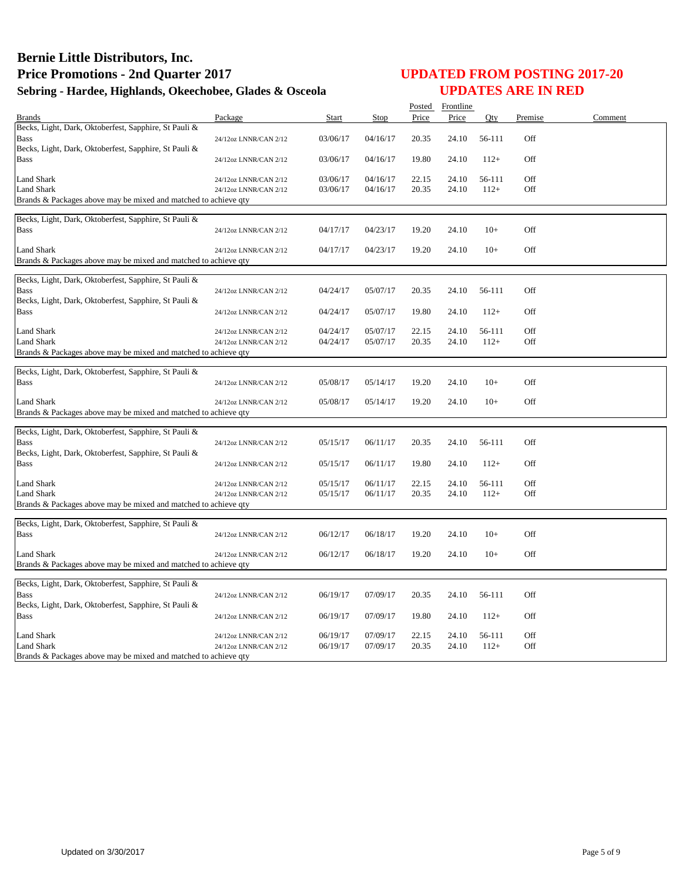|                                                                                                                               |                                                |                      |                      |                | Posted Frontline |                  |            |         |
|-------------------------------------------------------------------------------------------------------------------------------|------------------------------------------------|----------------------|----------------------|----------------|------------------|------------------|------------|---------|
| <b>Brands</b>                                                                                                                 | Package                                        | Start                | Stop                 | Price          | Price            | Qty              | Premise    | Comment |
| Becks, Light, Dark, Oktoberfest, Sapphire, St Pauli &<br><b>Bass</b><br>Becks, Light, Dark, Oktoberfest, Sapphire, St Pauli & | 24/12oz LNNR/CAN 2/12                          | 03/06/17             | 04/16/17             | 20.35          | 24.10            | 56-111           | Off        |         |
| <b>Bass</b>                                                                                                                   | 24/12oz LNNR/CAN 2/12                          | 03/06/17             | 04/16/17             | 19.80          | 24.10            | $112+$           | Off        |         |
| <b>Land Shark</b><br><b>Land Shark</b><br>Brands & Packages above may be mixed and matched to achieve qty                     | 24/12oz LNNR/CAN 2/12<br>24/12oz LNNR/CAN 2/12 | 03/06/17<br>03/06/17 | 04/16/17<br>04/16/17 | 22.15<br>20.35 | 24.10<br>24.10   | 56-111<br>$112+$ | Off<br>Off |         |
| Becks, Light, Dark, Oktoberfest, Sapphire, St Pauli &<br><b>Bass</b>                                                          | 24/12oz LNNR/CAN 2/12                          | 04/17/17             | 04/23/17             | 19.20          | 24.10            | $10+$            | Off        |         |
| <b>Land Shark</b><br>Brands & Packages above may be mixed and matched to achieve qty                                          | 24/12oz LNNR/CAN 2/12                          | 04/17/17             | 04/23/17             | 19.20          | 24.10            | $10+$            | Off        |         |
| Becks, Light, Dark, Oktoberfest, Sapphire, St Pauli &<br><b>Bass</b><br>Becks, Light, Dark, Oktoberfest, Sapphire, St Pauli & | 24/12oz LNNR/CAN 2/12                          | 04/24/17             | 05/07/17             | 20.35          | 24.10            | 56-111           | Off        |         |
| <b>Bass</b>                                                                                                                   | 24/12oz LNNR/CAN 2/12                          | 04/24/17             | 05/07/17             | 19.80          | 24.10            | $112+$           | Off        |         |
| <b>Land Shark</b><br><b>Land Shark</b><br>Brands & Packages above may be mixed and matched to achieve qty                     | 24/12oz LNNR/CAN 2/12<br>24/12oz LNNR/CAN 2/12 | 04/24/17<br>04/24/17 | 05/07/17<br>05/07/17 | 22.15<br>20.35 | 24.10<br>24.10   | 56-111<br>$112+$ | Off<br>Off |         |
|                                                                                                                               |                                                |                      |                      |                |                  |                  |            |         |
| Becks, Light, Dark, Oktoberfest, Sapphire, St Pauli &<br><b>Bass</b>                                                          | 24/12oz LNNR/CAN 2/12                          | 05/08/17             | 05/14/17             | 19.20          | 24.10            | $10+$            | Off        |         |
| Land Shark<br>Brands & Packages above may be mixed and matched to achieve qty                                                 | 24/12oz LNNR/CAN 2/12                          | 05/08/17             | 05/14/17             | 19.20          | 24.10            | $10+$            | Off        |         |
|                                                                                                                               |                                                |                      |                      |                |                  |                  |            |         |
| Becks, Light, Dark, Oktoberfest, Sapphire, St Pauli &<br>Bass                                                                 | 24/12oz LNNR/CAN 2/12                          | 05/15/17             | 06/11/17             | 20.35          | 24.10            | 56-111           | Off        |         |
| Becks, Light, Dark, Oktoberfest, Sapphire, St Pauli &<br><b>Bass</b>                                                          | 24/12oz LNNR/CAN 2/12                          | 05/15/17             | 06/11/17             | 19.80          | 24.10            | $112+$           | Off        |         |
| Land Shark<br><b>Land Shark</b><br>Brands & Packages above may be mixed and matched to achieve qty                            | 24/12oz LNNR/CAN 2/12<br>24/12oz LNNR/CAN 2/12 | 05/15/17<br>05/15/17 | 06/11/17<br>06/11/17 | 22.15<br>20.35 | 24.10<br>24.10   | 56-111<br>$112+$ | Off<br>Off |         |
| Becks, Light, Dark, Oktoberfest, Sapphire, St Pauli &                                                                         |                                                |                      |                      |                |                  |                  |            |         |
| <b>Bass</b>                                                                                                                   | 24/12oz LNNR/CAN 2/12                          | 06/12/17             | 06/18/17             | 19.20          | 24.10            | $10+$            | Off        |         |
| <b>Land Shark</b><br>Brands & Packages above may be mixed and matched to achieve qty                                          | 24/12oz LNNR/CAN 2/12                          | 06/12/17             | 06/18/17             | 19.20          | 24.10            | $10+$            | Off        |         |
| Becks, Light, Dark, Oktoberfest, Sapphire, St Pauli &<br><b>Bass</b>                                                          | 24/12oz LNNR/CAN 2/12                          | 06/19/17             | 07/09/17             | 20.35          | 24.10            | 56-111           | Off        |         |
| Becks, Light, Dark, Oktoberfest, Sapphire, St Pauli &<br><b>Bass</b>                                                          | 24/12oz LNNR/CAN 2/12                          | 06/19/17             | 07/09/17             | 19.80          | 24.10            | $112+$           | Off        |         |
| Land Shark<br>Land Shark<br>Brands & Packages above may be mixed and matched to achieve qty                                   | 24/12oz LNNR/CAN 2/12<br>24/12oz LNNR/CAN 2/12 | 06/19/17<br>06/19/17 | 07/09/17<br>07/09/17 | 22.15<br>20.35 | 24.10<br>24.10   | 56-111<br>$112+$ | Off<br>Off |         |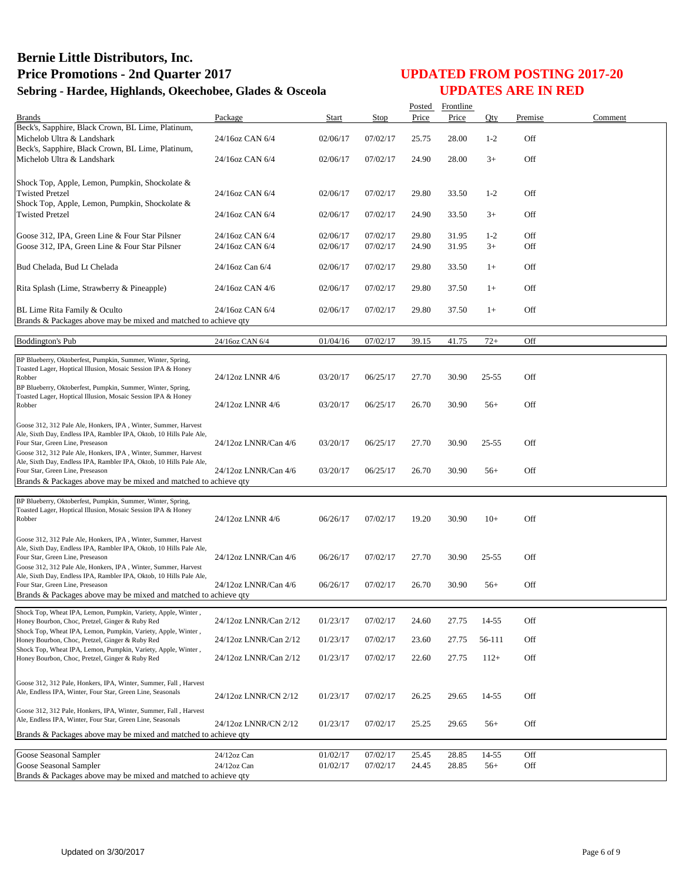| <b>Brands</b><br>Beck's, Sapphire, Black Crown, BL Lime, Platinum,<br>Off<br>Michelob Ultra & Landshark<br>24/16oz CAN 6/4<br>02/06/17<br>07/02/17<br>25.75<br>28.00<br>$1-2$<br>Beck's, Sapphire, Black Crown, BL Lime, Platinum,<br>Off<br>Michelob Ultra & Landshark<br>24/16oz CAN 6/4<br>02/06/17<br>07/02/17<br>24.90<br>28.00<br>$3+$<br>Shock Top, Apple, Lemon, Pumpkin, Shockolate &<br><b>Twisted Pretzel</b><br>24/16oz CAN 6/4<br>07/02/17<br>33.50<br>$1 - 2$<br>Off<br>02/06/17<br>29.80<br>Shock Top, Apple, Lemon, Pumpkin, Shockolate &<br>Off<br><b>Twisted Pretzel</b><br>24/16oz CAN 6/4<br>02/06/17<br>07/02/17<br>24.90<br>33.50<br>$3+$<br>Off<br>Goose 312, IPA, Green Line & Four Star Pilsner<br>24/16oz CAN 6/4<br>02/06/17<br>07/02/17<br>29.80<br>31.95<br>$1 - 2$<br>Off<br>Goose 312, IPA, Green Line & Four Star Pilsner<br>07/02/17<br>24.90<br>31.95<br>$3+$<br>24/16oz CAN 6/4<br>02/06/17<br>Bud Chelada, Bud Lt Chelada<br>24/16oz Can 6/4<br>02/06/17<br>07/02/17<br>29.80<br>33.50<br>Off<br>$1+$<br>Rita Splash (Lime, Strawberry & Pineapple)<br>24/16oz CAN 4/6<br>02/06/17<br>07/02/17<br>Off<br>29.80<br>37.50<br>$1+$<br>Off<br>BL Lime Rita Family & Oculto<br>24/16oz CAN 6/4<br>02/06/17<br>07/02/17<br>29.80<br>37.50<br>$1+$<br>Brands & Packages above may be mixed and matched to achieve qty<br><b>Boddington's Pub</b><br>01/04/16<br>07/02/17<br>39.15<br>41.75<br>$72+$<br>Off<br>24/16oz CAN 6/4<br>BP Blueberry, Oktoberfest, Pumpkin, Summer, Winter, Spring,<br>Toasted Lager, Hoptical Illusion, Mosaic Session IPA & Honey<br>03/20/17<br>06/25/17<br>30.90<br>$25 - 55$<br>Off<br>Robber<br>24/12oz LNNR 4/6<br>27.70<br>BP Blueberry, Oktoberfest, Pumpkin, Summer, Winter, Spring,<br>Toasted Lager, Hoptical Illusion, Mosaic Session IPA & Honey<br>Off<br>03/20/17<br>06/25/17<br>26.70<br>30.90<br>$56+$<br>24/12oz LNNR 4/6<br>Robber<br>Goose 312, 312 Pale Ale, Honkers, IPA, Winter, Summer, Harvest<br>Ale, Sixth Day, Endless IPA, Rambler IPA, Oktob, 10 Hills Pale Ale,<br>24/12oz LNNR/Can 4/6<br>03/20/17<br>06/25/17<br>27.70<br>30.90<br>$25 - 55$<br>Off<br>Four Star, Green Line, Preseason<br>Goose 312, 312 Pale Ale, Honkers, IPA, Winter, Summer, Harvest<br>Ale, Sixth Day, Endless IPA, Rambler IPA, Oktob, 10 Hills Pale Ale,<br>24/12oz LNNR/Can 4/6<br>03/20/17<br>06/25/17<br>26.70<br>30.90<br>$56+$<br>Off<br>Four Star, Green Line, Preseason<br>Brands & Packages above may be mixed and matched to achieve qty<br>BP Blueberry, Oktoberfest, Pumpkin, Summer, Winter, Spring,<br>Toasted Lager, Hoptical Illusion, Mosaic Session IPA & Honey<br>Off<br>24/12oz LNNR 4/6<br>06/26/17<br>07/02/17<br>19.20<br>30.90<br>$10+$<br>Robber<br>Goose 312, 312 Pale Ale, Honkers, IPA, Winter, Summer, Harvest<br>Ale, Sixth Day, Endless IPA, Rambler IPA, Oktob, 10 Hills Pale Ale,<br>Off<br>24/12oz LNNR/Can 4/6<br>07/02/17<br>27.70<br>30.90<br>$25 - 55$<br>06/26/17<br>Four Star, Green Line, Preseason<br>Goose 312, 312 Pale Ale, Honkers, IPA, Winter, Summer, Harvest<br>Ale, Sixth Day, Endless IPA, Rambler IPA, Oktob, 10 Hills Pale Ale,<br>24/12oz LNNR/Can 4/6<br>07/02/17<br>26.70<br>30.90<br>Off<br>Four Star, Green Line, Preseason<br>06/26/17<br>$56+$<br>Brands & Packages above may be mixed and matched to achieve qty<br>Shock Top, Wheat IPA, Lemon, Pumpkin, Variety, Apple, Winter,<br>24/12oz LNNR/Can 2/12<br>07/02/17<br>Off<br>01/23/17<br>24.60<br>27.75<br>14-55<br>Honey Bourbon, Choc, Pretzel, Ginger & Ruby Red<br>Shock Top, Wheat IPA, Lemon, Pumpkin, Variety, Apple, Winter,<br>24/12oz LNNR/Can 2/12<br>01/23/17<br>07/02/17<br>23.60<br>27.75<br>56-111<br>Off<br>Honey Bourbon, Choc, Pretzel, Ginger & Ruby Red<br>Shock Top, Wheat IPA, Lemon, Pumpkin, Variety, Apple, Winter,<br>Off<br>24/12oz LNNR/Can 2/12<br>01/23/17<br>07/02/17<br>22.60<br>27.75<br>$112+$<br>Honey Bourbon, Choc, Pretzel, Ginger & Ruby Red<br>Goose 312, 312 Pale, Honkers, IPA, Winter, Summer, Fall, Harvest<br>Ale, Endless IPA, Winter, Four Star, Green Line, Seasonals<br>Off<br>24/12oz LNNR/CN 2/12<br>01/23/17<br>07/02/17<br>29.65<br>14-55<br>26.25<br>Goose 312, 312 Pale, Honkers, IPA, Winter, Summer, Fall, Harvest<br>Ale, Endless IPA, Winter, Four Star, Green Line, Seasonals<br>24/12oz LNNR/CN 2/12<br>Off<br>01/23/17<br>07/02/17<br>25.25<br>29.65<br>$56+$<br>Brands & Packages above may be mixed and matched to achieve qty<br>Goose Seasonal Sampler<br>07/02/17<br>Off<br>01/02/17<br>25.45<br>28.85<br>14-55<br>24/12oz Can<br>Goose Seasonal Sampler<br>01/02/17<br>07/02/17<br>28.85<br>Off<br>24/12oz Can<br>24.45<br>$56+$<br>Brands & Packages above may be mixed and matched to achieve qty |         |              |             |       | Posted Frontline |     |         |         |
|----------------------------------------------------------------------------------------------------------------------------------------------------------------------------------------------------------------------------------------------------------------------------------------------------------------------------------------------------------------------------------------------------------------------------------------------------------------------------------------------------------------------------------------------------------------------------------------------------------------------------------------------------------------------------------------------------------------------------------------------------------------------------------------------------------------------------------------------------------------------------------------------------------------------------------------------------------------------------------------------------------------------------------------------------------------------------------------------------------------------------------------------------------------------------------------------------------------------------------------------------------------------------------------------------------------------------------------------------------------------------------------------------------------------------------------------------------------------------------------------------------------------------------------------------------------------------------------------------------------------------------------------------------------------------------------------------------------------------------------------------------------------------------------------------------------------------------------------------------------------------------------------------------------------------------------------------------------------------------------------------------------------------------------------------------------------------------------------------------------------------------------------------------------------------------------------------------------------------------------------------------------------------------------------------------------------------------------------------------------------------------------------------------------------------------------------------------------------------------------------------------------------------------------------------------------------------------------------------------------------------------------------------------------------------------------------------------------------------------------------------------------------------------------------------------------------------------------------------------------------------------------------------------------------------------------------------------------------------------------------------------------------------------------------------------------------------------------------------------------------------------------------------------------------------------------------------------------------------------------------------------------------------------------------------------------------------------------------------------------------------------------------------------------------------------------------------------------------------------------------------------------------------------------------------------------------------------------------------------------------------------------------------------------------------------------------------------------------------------------------------------------------------------------------------------------------------------------------------------------------------------------------------------------------------------------------------------------------------------------------------------------------------------------------------------------------------------------------------------------------------------------------------------------------------------------------------------------------------------------------------------------------------------------------------------------------------------------------------------------------------------------------------------------------------------------------------------------------------------------------------------------------------------------------------------------------------------------------------------------------------------------------------------------------------------------------------------------------------------------------------------|---------|--------------|-------------|-------|------------------|-----|---------|---------|
|                                                                                                                                                                                                                                                                                                                                                                                                                                                                                                                                                                                                                                                                                                                                                                                                                                                                                                                                                                                                                                                                                                                                                                                                                                                                                                                                                                                                                                                                                                                                                                                                                                                                                                                                                                                                                                                                                                                                                                                                                                                                                                                                                                                                                                                                                                                                                                                                                                                                                                                                                                                                                                                                                                                                                                                                                                                                                                                                                                                                                                                                                                                                                                                                                                                                                                                                                                                                                                                                                                                                                                                                                                                                                                                                                                                                                                                                                                                                                                                                                                                                                                                                                                                                                                                                                                                                                                                                                                                                                                                                                                                                                                                                                                                                                          | Package | <b>Start</b> | <b>Stop</b> | Price | Price            | Qty | Premise | Comment |
|                                                                                                                                                                                                                                                                                                                                                                                                                                                                                                                                                                                                                                                                                                                                                                                                                                                                                                                                                                                                                                                                                                                                                                                                                                                                                                                                                                                                                                                                                                                                                                                                                                                                                                                                                                                                                                                                                                                                                                                                                                                                                                                                                                                                                                                                                                                                                                                                                                                                                                                                                                                                                                                                                                                                                                                                                                                                                                                                                                                                                                                                                                                                                                                                                                                                                                                                                                                                                                                                                                                                                                                                                                                                                                                                                                                                                                                                                                                                                                                                                                                                                                                                                                                                                                                                                                                                                                                                                                                                                                                                                                                                                                                                                                                                                          |         |              |             |       |                  |     |         |         |
|                                                                                                                                                                                                                                                                                                                                                                                                                                                                                                                                                                                                                                                                                                                                                                                                                                                                                                                                                                                                                                                                                                                                                                                                                                                                                                                                                                                                                                                                                                                                                                                                                                                                                                                                                                                                                                                                                                                                                                                                                                                                                                                                                                                                                                                                                                                                                                                                                                                                                                                                                                                                                                                                                                                                                                                                                                                                                                                                                                                                                                                                                                                                                                                                                                                                                                                                                                                                                                                                                                                                                                                                                                                                                                                                                                                                                                                                                                                                                                                                                                                                                                                                                                                                                                                                                                                                                                                                                                                                                                                                                                                                                                                                                                                                                          |         |              |             |       |                  |     |         |         |
|                                                                                                                                                                                                                                                                                                                                                                                                                                                                                                                                                                                                                                                                                                                                                                                                                                                                                                                                                                                                                                                                                                                                                                                                                                                                                                                                                                                                                                                                                                                                                                                                                                                                                                                                                                                                                                                                                                                                                                                                                                                                                                                                                                                                                                                                                                                                                                                                                                                                                                                                                                                                                                                                                                                                                                                                                                                                                                                                                                                                                                                                                                                                                                                                                                                                                                                                                                                                                                                                                                                                                                                                                                                                                                                                                                                                                                                                                                                                                                                                                                                                                                                                                                                                                                                                                                                                                                                                                                                                                                                                                                                                                                                                                                                                                          |         |              |             |       |                  |     |         |         |
|                                                                                                                                                                                                                                                                                                                                                                                                                                                                                                                                                                                                                                                                                                                                                                                                                                                                                                                                                                                                                                                                                                                                                                                                                                                                                                                                                                                                                                                                                                                                                                                                                                                                                                                                                                                                                                                                                                                                                                                                                                                                                                                                                                                                                                                                                                                                                                                                                                                                                                                                                                                                                                                                                                                                                                                                                                                                                                                                                                                                                                                                                                                                                                                                                                                                                                                                                                                                                                                                                                                                                                                                                                                                                                                                                                                                                                                                                                                                                                                                                                                                                                                                                                                                                                                                                                                                                                                                                                                                                                                                                                                                                                                                                                                                                          |         |              |             |       |                  |     |         |         |
|                                                                                                                                                                                                                                                                                                                                                                                                                                                                                                                                                                                                                                                                                                                                                                                                                                                                                                                                                                                                                                                                                                                                                                                                                                                                                                                                                                                                                                                                                                                                                                                                                                                                                                                                                                                                                                                                                                                                                                                                                                                                                                                                                                                                                                                                                                                                                                                                                                                                                                                                                                                                                                                                                                                                                                                                                                                                                                                                                                                                                                                                                                                                                                                                                                                                                                                                                                                                                                                                                                                                                                                                                                                                                                                                                                                                                                                                                                                                                                                                                                                                                                                                                                                                                                                                                                                                                                                                                                                                                                                                                                                                                                                                                                                                                          |         |              |             |       |                  |     |         |         |
|                                                                                                                                                                                                                                                                                                                                                                                                                                                                                                                                                                                                                                                                                                                                                                                                                                                                                                                                                                                                                                                                                                                                                                                                                                                                                                                                                                                                                                                                                                                                                                                                                                                                                                                                                                                                                                                                                                                                                                                                                                                                                                                                                                                                                                                                                                                                                                                                                                                                                                                                                                                                                                                                                                                                                                                                                                                                                                                                                                                                                                                                                                                                                                                                                                                                                                                                                                                                                                                                                                                                                                                                                                                                                                                                                                                                                                                                                                                                                                                                                                                                                                                                                                                                                                                                                                                                                                                                                                                                                                                                                                                                                                                                                                                                                          |         |              |             |       |                  |     |         |         |
|                                                                                                                                                                                                                                                                                                                                                                                                                                                                                                                                                                                                                                                                                                                                                                                                                                                                                                                                                                                                                                                                                                                                                                                                                                                                                                                                                                                                                                                                                                                                                                                                                                                                                                                                                                                                                                                                                                                                                                                                                                                                                                                                                                                                                                                                                                                                                                                                                                                                                                                                                                                                                                                                                                                                                                                                                                                                                                                                                                                                                                                                                                                                                                                                                                                                                                                                                                                                                                                                                                                                                                                                                                                                                                                                                                                                                                                                                                                                                                                                                                                                                                                                                                                                                                                                                                                                                                                                                                                                                                                                                                                                                                                                                                                                                          |         |              |             |       |                  |     |         |         |
|                                                                                                                                                                                                                                                                                                                                                                                                                                                                                                                                                                                                                                                                                                                                                                                                                                                                                                                                                                                                                                                                                                                                                                                                                                                                                                                                                                                                                                                                                                                                                                                                                                                                                                                                                                                                                                                                                                                                                                                                                                                                                                                                                                                                                                                                                                                                                                                                                                                                                                                                                                                                                                                                                                                                                                                                                                                                                                                                                                                                                                                                                                                                                                                                                                                                                                                                                                                                                                                                                                                                                                                                                                                                                                                                                                                                                                                                                                                                                                                                                                                                                                                                                                                                                                                                                                                                                                                                                                                                                                                                                                                                                                                                                                                                                          |         |              |             |       |                  |     |         |         |
|                                                                                                                                                                                                                                                                                                                                                                                                                                                                                                                                                                                                                                                                                                                                                                                                                                                                                                                                                                                                                                                                                                                                                                                                                                                                                                                                                                                                                                                                                                                                                                                                                                                                                                                                                                                                                                                                                                                                                                                                                                                                                                                                                                                                                                                                                                                                                                                                                                                                                                                                                                                                                                                                                                                                                                                                                                                                                                                                                                                                                                                                                                                                                                                                                                                                                                                                                                                                                                                                                                                                                                                                                                                                                                                                                                                                                                                                                                                                                                                                                                                                                                                                                                                                                                                                                                                                                                                                                                                                                                                                                                                                                                                                                                                                                          |         |              |             |       |                  |     |         |         |
|                                                                                                                                                                                                                                                                                                                                                                                                                                                                                                                                                                                                                                                                                                                                                                                                                                                                                                                                                                                                                                                                                                                                                                                                                                                                                                                                                                                                                                                                                                                                                                                                                                                                                                                                                                                                                                                                                                                                                                                                                                                                                                                                                                                                                                                                                                                                                                                                                                                                                                                                                                                                                                                                                                                                                                                                                                                                                                                                                                                                                                                                                                                                                                                                                                                                                                                                                                                                                                                                                                                                                                                                                                                                                                                                                                                                                                                                                                                                                                                                                                                                                                                                                                                                                                                                                                                                                                                                                                                                                                                                                                                                                                                                                                                                                          |         |              |             |       |                  |     |         |         |
|                                                                                                                                                                                                                                                                                                                                                                                                                                                                                                                                                                                                                                                                                                                                                                                                                                                                                                                                                                                                                                                                                                                                                                                                                                                                                                                                                                                                                                                                                                                                                                                                                                                                                                                                                                                                                                                                                                                                                                                                                                                                                                                                                                                                                                                                                                                                                                                                                                                                                                                                                                                                                                                                                                                                                                                                                                                                                                                                                                                                                                                                                                                                                                                                                                                                                                                                                                                                                                                                                                                                                                                                                                                                                                                                                                                                                                                                                                                                                                                                                                                                                                                                                                                                                                                                                                                                                                                                                                                                                                                                                                                                                                                                                                                                                          |         |              |             |       |                  |     |         |         |
|                                                                                                                                                                                                                                                                                                                                                                                                                                                                                                                                                                                                                                                                                                                                                                                                                                                                                                                                                                                                                                                                                                                                                                                                                                                                                                                                                                                                                                                                                                                                                                                                                                                                                                                                                                                                                                                                                                                                                                                                                                                                                                                                                                                                                                                                                                                                                                                                                                                                                                                                                                                                                                                                                                                                                                                                                                                                                                                                                                                                                                                                                                                                                                                                                                                                                                                                                                                                                                                                                                                                                                                                                                                                                                                                                                                                                                                                                                                                                                                                                                                                                                                                                                                                                                                                                                                                                                                                                                                                                                                                                                                                                                                                                                                                                          |         |              |             |       |                  |     |         |         |
|                                                                                                                                                                                                                                                                                                                                                                                                                                                                                                                                                                                                                                                                                                                                                                                                                                                                                                                                                                                                                                                                                                                                                                                                                                                                                                                                                                                                                                                                                                                                                                                                                                                                                                                                                                                                                                                                                                                                                                                                                                                                                                                                                                                                                                                                                                                                                                                                                                                                                                                                                                                                                                                                                                                                                                                                                                                                                                                                                                                                                                                                                                                                                                                                                                                                                                                                                                                                                                                                                                                                                                                                                                                                                                                                                                                                                                                                                                                                                                                                                                                                                                                                                                                                                                                                                                                                                                                                                                                                                                                                                                                                                                                                                                                                                          |         |              |             |       |                  |     |         |         |
|                                                                                                                                                                                                                                                                                                                                                                                                                                                                                                                                                                                                                                                                                                                                                                                                                                                                                                                                                                                                                                                                                                                                                                                                                                                                                                                                                                                                                                                                                                                                                                                                                                                                                                                                                                                                                                                                                                                                                                                                                                                                                                                                                                                                                                                                                                                                                                                                                                                                                                                                                                                                                                                                                                                                                                                                                                                                                                                                                                                                                                                                                                                                                                                                                                                                                                                                                                                                                                                                                                                                                                                                                                                                                                                                                                                                                                                                                                                                                                                                                                                                                                                                                                                                                                                                                                                                                                                                                                                                                                                                                                                                                                                                                                                                                          |         |              |             |       |                  |     |         |         |
|                                                                                                                                                                                                                                                                                                                                                                                                                                                                                                                                                                                                                                                                                                                                                                                                                                                                                                                                                                                                                                                                                                                                                                                                                                                                                                                                                                                                                                                                                                                                                                                                                                                                                                                                                                                                                                                                                                                                                                                                                                                                                                                                                                                                                                                                                                                                                                                                                                                                                                                                                                                                                                                                                                                                                                                                                                                                                                                                                                                                                                                                                                                                                                                                                                                                                                                                                                                                                                                                                                                                                                                                                                                                                                                                                                                                                                                                                                                                                                                                                                                                                                                                                                                                                                                                                                                                                                                                                                                                                                                                                                                                                                                                                                                                                          |         |              |             |       |                  |     |         |         |
|                                                                                                                                                                                                                                                                                                                                                                                                                                                                                                                                                                                                                                                                                                                                                                                                                                                                                                                                                                                                                                                                                                                                                                                                                                                                                                                                                                                                                                                                                                                                                                                                                                                                                                                                                                                                                                                                                                                                                                                                                                                                                                                                                                                                                                                                                                                                                                                                                                                                                                                                                                                                                                                                                                                                                                                                                                                                                                                                                                                                                                                                                                                                                                                                                                                                                                                                                                                                                                                                                                                                                                                                                                                                                                                                                                                                                                                                                                                                                                                                                                                                                                                                                                                                                                                                                                                                                                                                                                                                                                                                                                                                                                                                                                                                                          |         |              |             |       |                  |     |         |         |
|                                                                                                                                                                                                                                                                                                                                                                                                                                                                                                                                                                                                                                                                                                                                                                                                                                                                                                                                                                                                                                                                                                                                                                                                                                                                                                                                                                                                                                                                                                                                                                                                                                                                                                                                                                                                                                                                                                                                                                                                                                                                                                                                                                                                                                                                                                                                                                                                                                                                                                                                                                                                                                                                                                                                                                                                                                                                                                                                                                                                                                                                                                                                                                                                                                                                                                                                                                                                                                                                                                                                                                                                                                                                                                                                                                                                                                                                                                                                                                                                                                                                                                                                                                                                                                                                                                                                                                                                                                                                                                                                                                                                                                                                                                                                                          |         |              |             |       |                  |     |         |         |
|                                                                                                                                                                                                                                                                                                                                                                                                                                                                                                                                                                                                                                                                                                                                                                                                                                                                                                                                                                                                                                                                                                                                                                                                                                                                                                                                                                                                                                                                                                                                                                                                                                                                                                                                                                                                                                                                                                                                                                                                                                                                                                                                                                                                                                                                                                                                                                                                                                                                                                                                                                                                                                                                                                                                                                                                                                                                                                                                                                                                                                                                                                                                                                                                                                                                                                                                                                                                                                                                                                                                                                                                                                                                                                                                                                                                                                                                                                                                                                                                                                                                                                                                                                                                                                                                                                                                                                                                                                                                                                                                                                                                                                                                                                                                                          |         |              |             |       |                  |     |         |         |
|                                                                                                                                                                                                                                                                                                                                                                                                                                                                                                                                                                                                                                                                                                                                                                                                                                                                                                                                                                                                                                                                                                                                                                                                                                                                                                                                                                                                                                                                                                                                                                                                                                                                                                                                                                                                                                                                                                                                                                                                                                                                                                                                                                                                                                                                                                                                                                                                                                                                                                                                                                                                                                                                                                                                                                                                                                                                                                                                                                                                                                                                                                                                                                                                                                                                                                                                                                                                                                                                                                                                                                                                                                                                                                                                                                                                                                                                                                                                                                                                                                                                                                                                                                                                                                                                                                                                                                                                                                                                                                                                                                                                                                                                                                                                                          |         |              |             |       |                  |     |         |         |
|                                                                                                                                                                                                                                                                                                                                                                                                                                                                                                                                                                                                                                                                                                                                                                                                                                                                                                                                                                                                                                                                                                                                                                                                                                                                                                                                                                                                                                                                                                                                                                                                                                                                                                                                                                                                                                                                                                                                                                                                                                                                                                                                                                                                                                                                                                                                                                                                                                                                                                                                                                                                                                                                                                                                                                                                                                                                                                                                                                                                                                                                                                                                                                                                                                                                                                                                                                                                                                                                                                                                                                                                                                                                                                                                                                                                                                                                                                                                                                                                                                                                                                                                                                                                                                                                                                                                                                                                                                                                                                                                                                                                                                                                                                                                                          |         |              |             |       |                  |     |         |         |
|                                                                                                                                                                                                                                                                                                                                                                                                                                                                                                                                                                                                                                                                                                                                                                                                                                                                                                                                                                                                                                                                                                                                                                                                                                                                                                                                                                                                                                                                                                                                                                                                                                                                                                                                                                                                                                                                                                                                                                                                                                                                                                                                                                                                                                                                                                                                                                                                                                                                                                                                                                                                                                                                                                                                                                                                                                                                                                                                                                                                                                                                                                                                                                                                                                                                                                                                                                                                                                                                                                                                                                                                                                                                                                                                                                                                                                                                                                                                                                                                                                                                                                                                                                                                                                                                                                                                                                                                                                                                                                                                                                                                                                                                                                                                                          |         |              |             |       |                  |     |         |         |
|                                                                                                                                                                                                                                                                                                                                                                                                                                                                                                                                                                                                                                                                                                                                                                                                                                                                                                                                                                                                                                                                                                                                                                                                                                                                                                                                                                                                                                                                                                                                                                                                                                                                                                                                                                                                                                                                                                                                                                                                                                                                                                                                                                                                                                                                                                                                                                                                                                                                                                                                                                                                                                                                                                                                                                                                                                                                                                                                                                                                                                                                                                                                                                                                                                                                                                                                                                                                                                                                                                                                                                                                                                                                                                                                                                                                                                                                                                                                                                                                                                                                                                                                                                                                                                                                                                                                                                                                                                                                                                                                                                                                                                                                                                                                                          |         |              |             |       |                  |     |         |         |
|                                                                                                                                                                                                                                                                                                                                                                                                                                                                                                                                                                                                                                                                                                                                                                                                                                                                                                                                                                                                                                                                                                                                                                                                                                                                                                                                                                                                                                                                                                                                                                                                                                                                                                                                                                                                                                                                                                                                                                                                                                                                                                                                                                                                                                                                                                                                                                                                                                                                                                                                                                                                                                                                                                                                                                                                                                                                                                                                                                                                                                                                                                                                                                                                                                                                                                                                                                                                                                                                                                                                                                                                                                                                                                                                                                                                                                                                                                                                                                                                                                                                                                                                                                                                                                                                                                                                                                                                                                                                                                                                                                                                                                                                                                                                                          |         |              |             |       |                  |     |         |         |
|                                                                                                                                                                                                                                                                                                                                                                                                                                                                                                                                                                                                                                                                                                                                                                                                                                                                                                                                                                                                                                                                                                                                                                                                                                                                                                                                                                                                                                                                                                                                                                                                                                                                                                                                                                                                                                                                                                                                                                                                                                                                                                                                                                                                                                                                                                                                                                                                                                                                                                                                                                                                                                                                                                                                                                                                                                                                                                                                                                                                                                                                                                                                                                                                                                                                                                                                                                                                                                                                                                                                                                                                                                                                                                                                                                                                                                                                                                                                                                                                                                                                                                                                                                                                                                                                                                                                                                                                                                                                                                                                                                                                                                                                                                                                                          |         |              |             |       |                  |     |         |         |
|                                                                                                                                                                                                                                                                                                                                                                                                                                                                                                                                                                                                                                                                                                                                                                                                                                                                                                                                                                                                                                                                                                                                                                                                                                                                                                                                                                                                                                                                                                                                                                                                                                                                                                                                                                                                                                                                                                                                                                                                                                                                                                                                                                                                                                                                                                                                                                                                                                                                                                                                                                                                                                                                                                                                                                                                                                                                                                                                                                                                                                                                                                                                                                                                                                                                                                                                                                                                                                                                                                                                                                                                                                                                                                                                                                                                                                                                                                                                                                                                                                                                                                                                                                                                                                                                                                                                                                                                                                                                                                                                                                                                                                                                                                                                                          |         |              |             |       |                  |     |         |         |
|                                                                                                                                                                                                                                                                                                                                                                                                                                                                                                                                                                                                                                                                                                                                                                                                                                                                                                                                                                                                                                                                                                                                                                                                                                                                                                                                                                                                                                                                                                                                                                                                                                                                                                                                                                                                                                                                                                                                                                                                                                                                                                                                                                                                                                                                                                                                                                                                                                                                                                                                                                                                                                                                                                                                                                                                                                                                                                                                                                                                                                                                                                                                                                                                                                                                                                                                                                                                                                                                                                                                                                                                                                                                                                                                                                                                                                                                                                                                                                                                                                                                                                                                                                                                                                                                                                                                                                                                                                                                                                                                                                                                                                                                                                                                                          |         |              |             |       |                  |     |         |         |
|                                                                                                                                                                                                                                                                                                                                                                                                                                                                                                                                                                                                                                                                                                                                                                                                                                                                                                                                                                                                                                                                                                                                                                                                                                                                                                                                                                                                                                                                                                                                                                                                                                                                                                                                                                                                                                                                                                                                                                                                                                                                                                                                                                                                                                                                                                                                                                                                                                                                                                                                                                                                                                                                                                                                                                                                                                                                                                                                                                                                                                                                                                                                                                                                                                                                                                                                                                                                                                                                                                                                                                                                                                                                                                                                                                                                                                                                                                                                                                                                                                                                                                                                                                                                                                                                                                                                                                                                                                                                                                                                                                                                                                                                                                                                                          |         |              |             |       |                  |     |         |         |
|                                                                                                                                                                                                                                                                                                                                                                                                                                                                                                                                                                                                                                                                                                                                                                                                                                                                                                                                                                                                                                                                                                                                                                                                                                                                                                                                                                                                                                                                                                                                                                                                                                                                                                                                                                                                                                                                                                                                                                                                                                                                                                                                                                                                                                                                                                                                                                                                                                                                                                                                                                                                                                                                                                                                                                                                                                                                                                                                                                                                                                                                                                                                                                                                                                                                                                                                                                                                                                                                                                                                                                                                                                                                                                                                                                                                                                                                                                                                                                                                                                                                                                                                                                                                                                                                                                                                                                                                                                                                                                                                                                                                                                                                                                                                                          |         |              |             |       |                  |     |         |         |
|                                                                                                                                                                                                                                                                                                                                                                                                                                                                                                                                                                                                                                                                                                                                                                                                                                                                                                                                                                                                                                                                                                                                                                                                                                                                                                                                                                                                                                                                                                                                                                                                                                                                                                                                                                                                                                                                                                                                                                                                                                                                                                                                                                                                                                                                                                                                                                                                                                                                                                                                                                                                                                                                                                                                                                                                                                                                                                                                                                                                                                                                                                                                                                                                                                                                                                                                                                                                                                                                                                                                                                                                                                                                                                                                                                                                                                                                                                                                                                                                                                                                                                                                                                                                                                                                                                                                                                                                                                                                                                                                                                                                                                                                                                                                                          |         |              |             |       |                  |     |         |         |
|                                                                                                                                                                                                                                                                                                                                                                                                                                                                                                                                                                                                                                                                                                                                                                                                                                                                                                                                                                                                                                                                                                                                                                                                                                                                                                                                                                                                                                                                                                                                                                                                                                                                                                                                                                                                                                                                                                                                                                                                                                                                                                                                                                                                                                                                                                                                                                                                                                                                                                                                                                                                                                                                                                                                                                                                                                                                                                                                                                                                                                                                                                                                                                                                                                                                                                                                                                                                                                                                                                                                                                                                                                                                                                                                                                                                                                                                                                                                                                                                                                                                                                                                                                                                                                                                                                                                                                                                                                                                                                                                                                                                                                                                                                                                                          |         |              |             |       |                  |     |         |         |
|                                                                                                                                                                                                                                                                                                                                                                                                                                                                                                                                                                                                                                                                                                                                                                                                                                                                                                                                                                                                                                                                                                                                                                                                                                                                                                                                                                                                                                                                                                                                                                                                                                                                                                                                                                                                                                                                                                                                                                                                                                                                                                                                                                                                                                                                                                                                                                                                                                                                                                                                                                                                                                                                                                                                                                                                                                                                                                                                                                                                                                                                                                                                                                                                                                                                                                                                                                                                                                                                                                                                                                                                                                                                                                                                                                                                                                                                                                                                                                                                                                                                                                                                                                                                                                                                                                                                                                                                                                                                                                                                                                                                                                                                                                                                                          |         |              |             |       |                  |     |         |         |
|                                                                                                                                                                                                                                                                                                                                                                                                                                                                                                                                                                                                                                                                                                                                                                                                                                                                                                                                                                                                                                                                                                                                                                                                                                                                                                                                                                                                                                                                                                                                                                                                                                                                                                                                                                                                                                                                                                                                                                                                                                                                                                                                                                                                                                                                                                                                                                                                                                                                                                                                                                                                                                                                                                                                                                                                                                                                                                                                                                                                                                                                                                                                                                                                                                                                                                                                                                                                                                                                                                                                                                                                                                                                                                                                                                                                                                                                                                                                                                                                                                                                                                                                                                                                                                                                                                                                                                                                                                                                                                                                                                                                                                                                                                                                                          |         |              |             |       |                  |     |         |         |
|                                                                                                                                                                                                                                                                                                                                                                                                                                                                                                                                                                                                                                                                                                                                                                                                                                                                                                                                                                                                                                                                                                                                                                                                                                                                                                                                                                                                                                                                                                                                                                                                                                                                                                                                                                                                                                                                                                                                                                                                                                                                                                                                                                                                                                                                                                                                                                                                                                                                                                                                                                                                                                                                                                                                                                                                                                                                                                                                                                                                                                                                                                                                                                                                                                                                                                                                                                                                                                                                                                                                                                                                                                                                                                                                                                                                                                                                                                                                                                                                                                                                                                                                                                                                                                                                                                                                                                                                                                                                                                                                                                                                                                                                                                                                                          |         |              |             |       |                  |     |         |         |
|                                                                                                                                                                                                                                                                                                                                                                                                                                                                                                                                                                                                                                                                                                                                                                                                                                                                                                                                                                                                                                                                                                                                                                                                                                                                                                                                                                                                                                                                                                                                                                                                                                                                                                                                                                                                                                                                                                                                                                                                                                                                                                                                                                                                                                                                                                                                                                                                                                                                                                                                                                                                                                                                                                                                                                                                                                                                                                                                                                                                                                                                                                                                                                                                                                                                                                                                                                                                                                                                                                                                                                                                                                                                                                                                                                                                                                                                                                                                                                                                                                                                                                                                                                                                                                                                                                                                                                                                                                                                                                                                                                                                                                                                                                                                                          |         |              |             |       |                  |     |         |         |
|                                                                                                                                                                                                                                                                                                                                                                                                                                                                                                                                                                                                                                                                                                                                                                                                                                                                                                                                                                                                                                                                                                                                                                                                                                                                                                                                                                                                                                                                                                                                                                                                                                                                                                                                                                                                                                                                                                                                                                                                                                                                                                                                                                                                                                                                                                                                                                                                                                                                                                                                                                                                                                                                                                                                                                                                                                                                                                                                                                                                                                                                                                                                                                                                                                                                                                                                                                                                                                                                                                                                                                                                                                                                                                                                                                                                                                                                                                                                                                                                                                                                                                                                                                                                                                                                                                                                                                                                                                                                                                                                                                                                                                                                                                                                                          |         |              |             |       |                  |     |         |         |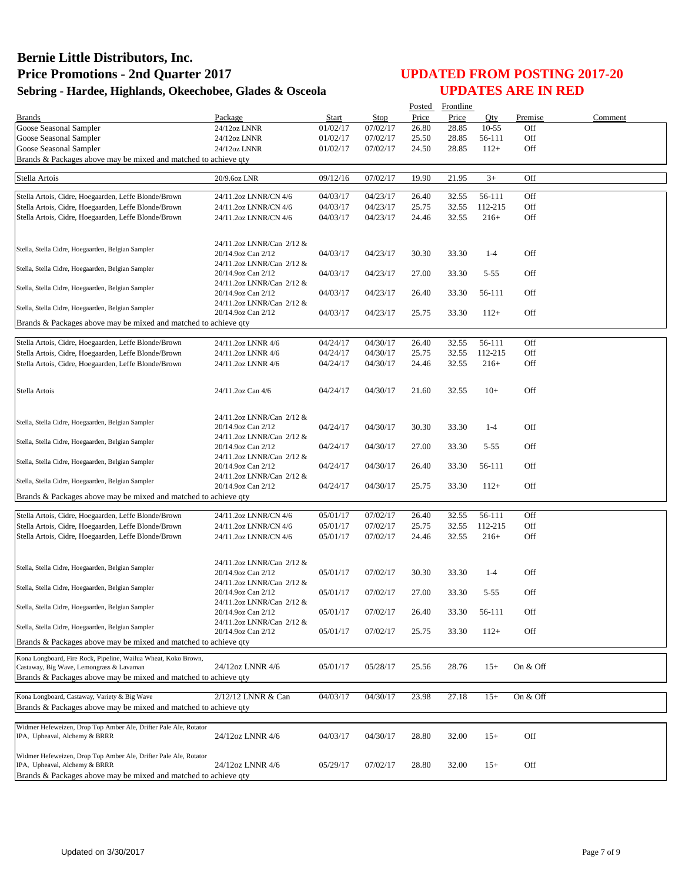|                                                                                                            |                                                 |          |          |       | Posted Frontline |           |          |         |
|------------------------------------------------------------------------------------------------------------|-------------------------------------------------|----------|----------|-------|------------------|-----------|----------|---------|
| <b>Brands</b>                                                                                              | Package                                         | Start    | Stop     | Price | Price            | Oty       | Premise  | Comment |
| Goose Seasonal Sampler                                                                                     | 24/12oz LNNR                                    | 01/02/17 | 07/02/17 | 26.80 | 28.85            | $10 - 55$ | Off      |         |
| Goose Seasonal Sampler                                                                                     | 24/12oz LNNR                                    | 01/02/17 | 07/02/17 | 25.50 | 28.85            | 56-111    | Off      |         |
| Goose Seasonal Sampler                                                                                     | 24/12oz LNNR                                    | 01/02/17 | 07/02/17 | 24.50 | 28.85            | $112+$    | Off      |         |
| Brands & Packages above may be mixed and matched to achieve qty                                            |                                                 |          |          |       |                  |           |          |         |
| Stella Artois                                                                                              | 20/9.6oz LNR                                    | 09/12/16 | 07/02/17 | 19.90 | 21.95            | $3+$      | Off      |         |
|                                                                                                            |                                                 |          |          |       |                  |           |          |         |
| Stella Artois, Cidre, Hoegaarden, Leffe Blonde/Brown                                                       | 24/11.2oz LNNR/CN 4/6                           | 04/03/17 | 04/23/17 | 26.40 | 32.55            | 56-111    | Off      |         |
| Stella Artois, Cidre, Hoegaarden, Leffe Blonde/Brown                                                       | 24/11.2oz LNNR/CN 4/6                           | 04/03/17 | 04/23/17 | 25.75 | 32.55            | 112-215   | Off      |         |
| Stella Artois, Cidre, Hoegaarden, Leffe Blonde/Brown                                                       | 24/11.2oz LNNR/CN 4/6                           | 04/03/17 | 04/23/17 | 24.46 | 32.55            | $216+$    | Off      |         |
|                                                                                                            |                                                 |          |          |       |                  |           |          |         |
|                                                                                                            | 24/11.2oz LNNR/Can 2/12 &                       |          |          |       |                  |           |          |         |
| Stella, Stella Cidre, Hoegaarden, Belgian Sampler                                                          | 20/14.9oz Can 2/12                              | 04/03/17 | 04/23/17 | 30.30 | 33.30            | $1 - 4$   | Off      |         |
| Stella, Stella Cidre, Hoegaarden, Belgian Sampler                                                          | 24/11.2oz LNNR/Can 2/12 &                       |          |          |       |                  |           |          |         |
|                                                                                                            | 20/14.9oz Can 2/12                              | 04/03/17 | 04/23/17 | 27.00 | 33.30            | $5 - 55$  | Off      |         |
| Stella, Stella Cidre, Hoegaarden, Belgian Sampler                                                          | 24/11.2oz LNNR/Can 2/12 &                       |          |          |       |                  |           |          |         |
|                                                                                                            | 20/14.9oz Can 2/12                              | 04/03/17 | 04/23/17 | 26.40 | 33.30            | 56-111    | Off      |         |
| Stella, Stella Cidre, Hoegaarden, Belgian Sampler                                                          | 24/11.2oz LNNR/Can 2/12 &                       |          |          |       | 33.30            | $112+$    | Off      |         |
| Brands & Packages above may be mixed and matched to achieve qty                                            | 20/14.9oz Can 2/12                              | 04/03/17 | 04/23/17 | 25.75 |                  |           |          |         |
|                                                                                                            |                                                 |          |          |       |                  |           |          |         |
| Stella Artois, Cidre, Hoegaarden, Leffe Blonde/Brown                                                       | 24/11.2oz LNNR 4/6                              | 04/24/17 | 04/30/17 | 26.40 | 32.55            | 56-111    | Off      |         |
| Stella Artois, Cidre, Hoegaarden, Leffe Blonde/Brown                                                       | 24/11.2oz LNNR 4/6                              | 04/24/17 | 04/30/17 | 25.75 | 32.55            | 112-215   | Off      |         |
| Stella Artois, Cidre, Hoegaarden, Leffe Blonde/Brown                                                       | 24/11.2oz LNNR 4/6                              | 04/24/17 | 04/30/17 | 24.46 | 32.55            | $216+$    | Off      |         |
|                                                                                                            |                                                 |          |          |       |                  |           |          |         |
|                                                                                                            |                                                 |          |          | 21.60 |                  | $10+$     | Off      |         |
| Stella Artois                                                                                              | 24/11.2oz Can 4/6                               | 04/24/17 | 04/30/17 |       | 32.55            |           |          |         |
|                                                                                                            |                                                 |          |          |       |                  |           |          |         |
| Stella, Stella Cidre, Hoegaarden, Belgian Sampler                                                          | 24/11.2oz LNNR/Can 2/12 &                       |          |          |       |                  |           |          |         |
|                                                                                                            | 20/14.9oz Can 2/12                              | 04/24/17 | 04/30/17 | 30.30 | 33.30            | $1-4$     | Off      |         |
| Stella, Stella Cidre, Hoegaarden, Belgian Sampler                                                          | 24/11.2oz LNNR/Can 2/12 &                       |          |          |       |                  |           |          |         |
|                                                                                                            | 20/14.9oz Can 2/12<br>24/11.2oz LNNR/Can 2/12 & | 04/24/17 | 04/30/17 | 27.00 | 33.30            | $5 - 55$  | Off      |         |
| Stella, Stella Cidre, Hoegaarden, Belgian Sampler                                                          | 20/14.9oz Can 2/12                              | 04/24/17 | 04/30/17 | 26.40 | 33.30            | 56-111    | Off      |         |
|                                                                                                            | 24/11.2oz LNNR/Can 2/12 &                       |          |          |       |                  |           |          |         |
| Stella, Stella Cidre, Hoegaarden, Belgian Sampler                                                          | 20/14.9oz Can 2/12                              | 04/24/17 | 04/30/17 | 25.75 | 33.30            | $112+$    | Off      |         |
| Brands & Packages above may be mixed and matched to achieve qty                                            |                                                 |          |          |       |                  |           |          |         |
|                                                                                                            |                                                 |          |          |       |                  |           |          |         |
| Stella Artois, Cidre, Hoegaarden, Leffe Blonde/Brown                                                       | 24/11.2oz LNNR/CN 4/6                           | 05/01/17 | 07/02/17 | 26.40 | 32.55            | 56-111    | Off      |         |
| Stella Artois, Cidre, Hoegaarden, Leffe Blonde/Brown                                                       | 24/11.2oz LNNR/CN 4/6                           | 05/01/17 | 07/02/17 | 25.75 | 32.55            | 112-215   | Off      |         |
| Stella Artois, Cidre, Hoegaarden, Leffe Blonde/Brown                                                       | 24/11.2oz LNNR/CN 4/6                           | 05/01/17 | 07/02/17 | 24.46 | 32.55            | $216+$    | Off      |         |
|                                                                                                            |                                                 |          |          |       |                  |           |          |         |
| Stella, Stella Cidre, Hoegaarden, Belgian Sampler                                                          | 24/11.2oz LNNR/Can 2/12 &                       |          |          |       |                  |           |          |         |
|                                                                                                            | 20/14.9oz Can 2/12                              | 05/01/17 | 07/02/17 | 30.30 | 33.30            | $1 - 4$   | Off      |         |
| Stella, Stella Cidre, Hoegaarden, Belgian Sampler                                                          | 24/11.2oz LNNR/Can 2/12 &                       |          |          |       |                  |           |          |         |
|                                                                                                            | 20/14.9oz Can 2/12                              | 05/01/17 | 07/02/17 | 27.00 | 33.30            | $5 - 55$  | Off      |         |
| Stella, Stella Cidre, Hoegaarden, Belgian Sampler                                                          | 24/11.2oz LNNR/Can 2/12 &<br>20/14.9oz Can 2/12 | 05/01/17 |          |       |                  | 56-111    | Off      |         |
|                                                                                                            | 24/11.2oz LNNR/Can 2/12 &                       |          | 07/02/17 | 26.40 | 33.30            |           |          |         |
| Stella, Stella Cidre, Hoegaarden, Belgian Sampler                                                          | 20/14.9oz Can 2/12                              | 05/01/17 | 07/02/17 | 25.75 | 33.30            | $112+$    | Off      |         |
| Brands & Packages above may be mixed and matched to achieve qty                                            |                                                 |          |          |       |                  |           |          |         |
|                                                                                                            |                                                 |          |          |       |                  |           |          |         |
| Kona Longboard, Fire Rock, Pipeline, Wailua Wheat, Koko Brown,<br>Castaway, Big Wave, Lemongrass & Lavaman | 24/12oz LNNR 4/6                                | 05/01/17 | 05/28/17 | 25.56 | 28.76            | $15+$     | On & Off |         |
| Brands & Packages above may be mixed and matched to achieve gty                                            |                                                 |          |          |       |                  |           |          |         |
|                                                                                                            |                                                 |          |          |       |                  |           |          |         |
| Kona Longboard, Castaway, Variety & Big Wave                                                               | 2/12/12 LNNR & Can                              | 04/03/17 | 04/30/17 | 23.98 | 27.18            | $15+$     | On & Off |         |
| Brands & Packages above may be mixed and matched to achieve qty                                            |                                                 |          |          |       |                  |           |          |         |
|                                                                                                            |                                                 |          |          |       |                  |           |          |         |
| Widmer Hefeweizen, Drop Top Amber Ale, Drifter Pale Ale, Rotator<br>IPA, Upheaval, Alchemy & BRRR          | 24/12oz LNNR 4/6                                | 04/03/17 |          |       |                  |           | Off      |         |
|                                                                                                            |                                                 |          | 04/30/17 | 28.80 | 32.00            | $15+$     |          |         |
| Widmer Hefeweizen, Drop Top Amber Ale, Drifter Pale Ale, Rotator                                           |                                                 |          |          |       |                  |           |          |         |
| IPA, Upheaval, Alchemy & BRRR                                                                              | 24/12oz LNNR 4/6                                | 05/29/17 | 07/02/17 | 28.80 | 32.00            | $15+$     | Off      |         |
| Brands & Packages above may be mixed and matched to achieve qty                                            |                                                 |          |          |       |                  |           |          |         |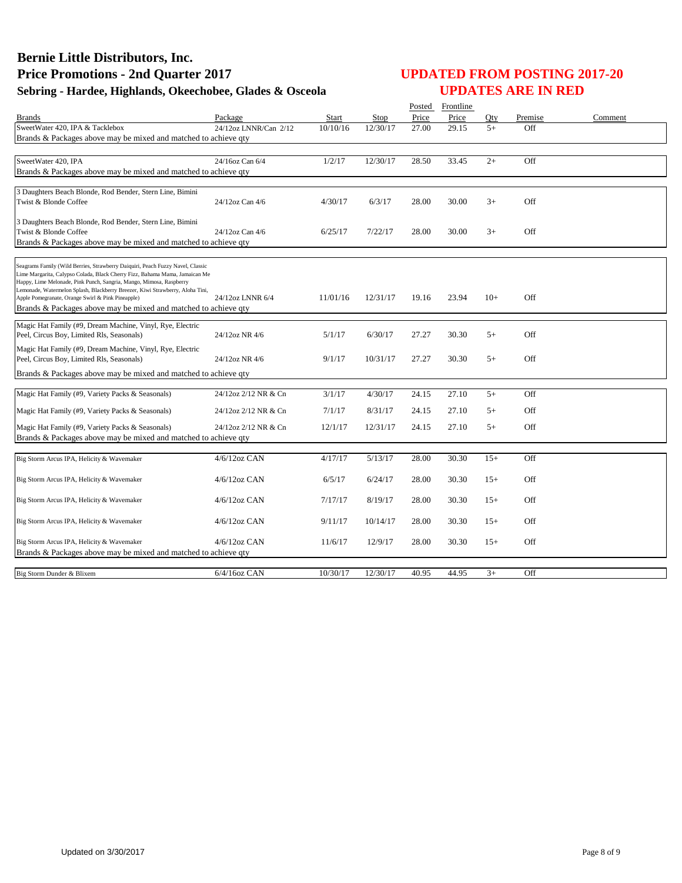|                                                                                                                                                    |                       |              |          |       | Posted Frontline |       |         |         |
|----------------------------------------------------------------------------------------------------------------------------------------------------|-----------------------|--------------|----------|-------|------------------|-------|---------|---------|
| Brands                                                                                                                                             | Package               | <b>Start</b> | Stop     | Price | Price            | Otv   | Premise | Comment |
| SweetWater 420, IPA & Tacklebox                                                                                                                    | 24/12oz LNNR/Can 2/12 | 10/10/16     | 12/30/17 | 27.00 | 29.15            | $5+$  | Off     |         |
| Brands & Packages above may be mixed and matched to achieve gty                                                                                    |                       |              |          |       |                  |       |         |         |
|                                                                                                                                                    |                       |              |          |       |                  |       |         |         |
| SweetWater 420, IPA                                                                                                                                | 24/16oz Can 6/4       | 1/2/17       | 12/30/17 | 28.50 | 33.45            | $2+$  | Off     |         |
| Brands & Packages above may be mixed and matched to achieve qty                                                                                    |                       |              |          |       |                  |       |         |         |
| 3 Daughters Beach Blonde, Rod Bender, Stern Line, Bimini                                                                                           |                       |              |          |       |                  |       |         |         |
| Twist & Blonde Coffee                                                                                                                              | 24/12oz Can 4/6       | 4/30/17      | 6/3/17   | 28.00 | 30.00            | $3+$  | Off     |         |
|                                                                                                                                                    |                       |              |          |       |                  |       |         |         |
| 3 Daughters Beach Blonde, Rod Bender, Stern Line, Bimini                                                                                           |                       |              |          |       |                  |       |         |         |
| Twist & Blonde Coffee                                                                                                                              | 24/12oz Can 4/6       | 6/25/17      | 7/22/17  | 28.00 | 30.00            | $3+$  | Off     |         |
| Brands & Packages above may be mixed and matched to achieve qty                                                                                    |                       |              |          |       |                  |       |         |         |
|                                                                                                                                                    |                       |              |          |       |                  |       |         |         |
| Seagrams Family (Wild Berries, Strawberry Daiquiri, Peach Fuzzy Navel, Classic                                                                     |                       |              |          |       |                  |       |         |         |
| Lime Margarita, Calypso Colada, Black Cherry Fizz, Bahama Mama, Jamaican Me<br>Happy, Lime Melonade, Pink Punch, Sangria, Mango, Mimosa, Raspberry |                       |              |          |       |                  |       |         |         |
| Lemonade, Watermelon Splash, Blackberry Breezer, Kiwi Strawberry, Aloha Tini,                                                                      |                       |              |          |       |                  |       |         |         |
| Apple Pomegranate, Orange Swirl & Pink Pineapple)                                                                                                  | 24/12oz LNNR 6/4      | 11/01/16     | 12/31/17 | 19.16 | 23.94            | $10+$ | Off     |         |
| Brands & Packages above may be mixed and matched to achieve qty                                                                                    |                       |              |          |       |                  |       |         |         |
| Magic Hat Family (#9, Dream Machine, Vinyl, Rye, Electric                                                                                          |                       |              |          |       |                  |       |         |         |
| Peel, Circus Boy, Limited Rls, Seasonals)                                                                                                          | 24/12oz NR 4/6        | 5/1/17       | 6/30/17  | 27.27 | 30.30            | $5+$  | Off     |         |
| Magic Hat Family (#9, Dream Machine, Vinyl, Rye, Electric                                                                                          |                       |              |          |       |                  |       |         |         |
| Peel, Circus Boy, Limited Rls, Seasonals)                                                                                                          | 24/12oz NR 4/6        | 9/1/17       | 10/31/17 | 27.27 | 30.30            | $5+$  | Off     |         |
| Brands & Packages above may be mixed and matched to achieve qty                                                                                    |                       |              |          |       |                  |       |         |         |
|                                                                                                                                                    |                       |              |          |       |                  |       |         |         |
| Magic Hat Family (#9, Variety Packs & Seasonals)                                                                                                   | 24/12oz 2/12 NR & Cn  | 3/1/17       | 4/30/17  | 24.15 | 27.10            | $5+$  | Off     |         |
| Magic Hat Family (#9, Variety Packs & Seasonals)                                                                                                   | 24/12oz 2/12 NR & Cn  | 7/1/17       | 8/31/17  | 24.15 | 27.10            | $5+$  | Off     |         |
|                                                                                                                                                    |                       |              |          |       |                  |       |         |         |
| Magic Hat Family (#9, Variety Packs & Seasonals)                                                                                                   | 24/12oz 2/12 NR & Cn  | 12/1/17      | 12/31/17 | 24.15 | 27.10            | $5+$  | Off     |         |
| Brands & Packages above may be mixed and matched to achieve qty                                                                                    |                       |              |          |       |                  |       |         |         |
| Big Storm Arcus IPA, Helicity & Wavemaker                                                                                                          | 4/6/12oz CAN          | 4/17/17      | 5/13/17  | 28.00 | 30.30            | $15+$ | Off     |         |
|                                                                                                                                                    |                       |              |          |       |                  |       |         |         |
| Big Storm Arcus IPA, Helicity & Wavemaker                                                                                                          | $4/6/12$ oz CAN       | 6/5/17       | 6/24/17  | 28.00 | 30.30            | $15+$ | Off     |         |
|                                                                                                                                                    |                       |              |          |       |                  |       |         |         |
| Big Storm Arcus IPA, Helicity & Wavemaker                                                                                                          | $4/6/12$ oz CAN       | 7/17/17      | 8/19/17  | 28.00 | 30.30            | $15+$ | Off     |         |
|                                                                                                                                                    |                       |              |          |       |                  |       |         |         |
| Big Storm Arcus IPA, Helicity & Wavemaker                                                                                                          | $4/6/12$ oz CAN       | 9/11/17      | 10/14/17 | 28.00 | 30.30            | $15+$ | Off     |         |
|                                                                                                                                                    |                       |              |          |       |                  |       |         |         |
| Big Storm Arcus IPA, Helicity & Wavemaker<br>Brands & Packages above may be mixed and matched to achieve qty                                       | $4/6/12$ oz CAN       | 11/6/17      | 12/9/17  | 28.00 | 30.30            | $15+$ | Off     |         |
|                                                                                                                                                    |                       |              |          |       |                  |       |         |         |
| Big Storm Dunder & Blixem                                                                                                                          | $6/4/16$ oz CAN       | 10/30/17     | 12/30/17 | 40.95 | 44.95            | $3+$  | Off     |         |
|                                                                                                                                                    |                       |              |          |       |                  |       |         |         |